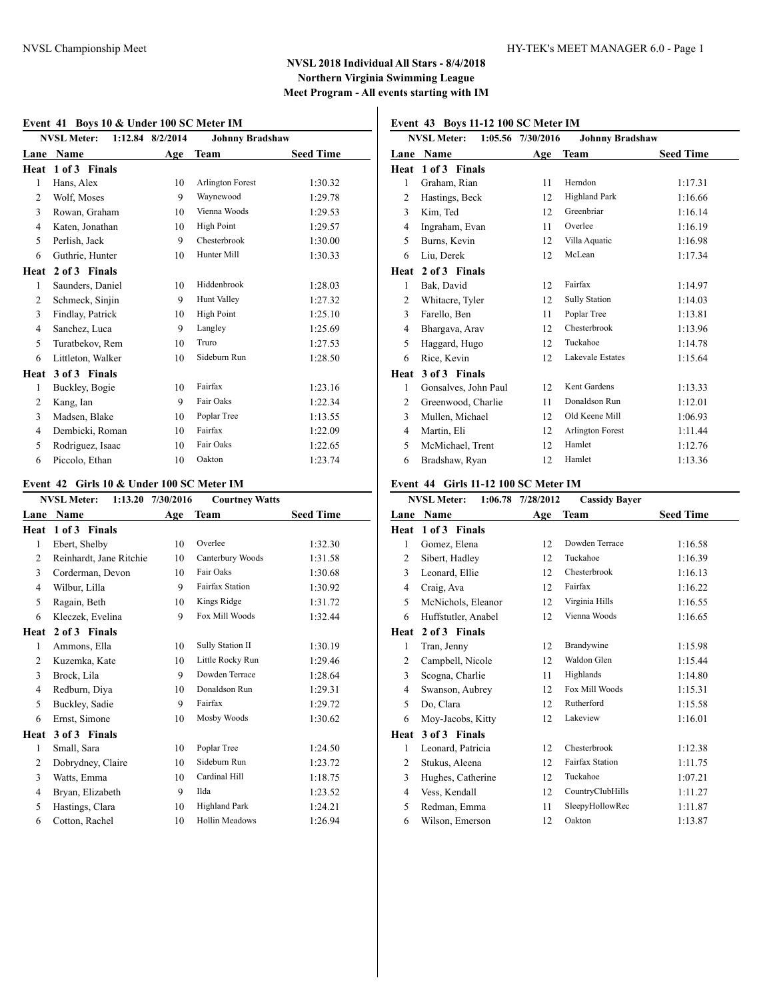# **Event 41 Boys 10 & Under 100 SC Meter IM**

|                | NVSL Meter: 1:12.84 8/2/2014 |     | <b>Johnny Bradshaw</b>  |                  |
|----------------|------------------------------|-----|-------------------------|------------------|
| Lane           | Name                         | Age | <b>Team</b>             | <b>Seed Time</b> |
| Heat           | 1 of 3 Finals                |     |                         |                  |
| 1              | Hans, Alex                   | 10  | <b>Arlington Forest</b> | 1:30.32          |
| 2              | Wolf, Moses                  | 9   | Waynewood               | 1:29.78          |
| 3              | Rowan, Graham                | 10  | Vienna Woods            | 1:29.53          |
| $\overline{4}$ | Katen, Jonathan              | 10  | High Point              | 1:29.57          |
| 5              | Perlish, Jack                | 9   | Chesterbrook            | 1:30.00          |
| 6              | Guthrie, Hunter              | 10  | Hunter Mill             | 1:30.33          |
| Heat           | 2 of 3 Finals                |     |                         |                  |
| 1              | Saunders, Daniel             | 10  | Hiddenbrook             | 1:28.03          |
| $\overline{c}$ | Schmeck, Sinjin              | 9   | <b>Hunt Valley</b>      | 1:27.32          |
| 3              | Findlay, Patrick             | 10  | High Point              | 1:25.10          |
| 4              | Sanchez, Luca                | 9   | Langley                 | 1:25.69          |
| 5              | Turatbekov, Rem              | 10  | Truro                   | 1:27.53          |
| 6              | Littleton, Walker            | 10  | Sideburn Run            | 1:28.50          |
| Heat           | 3 of 3 Finals                |     |                         |                  |
| 1              | Buckley, Bogie               | 10  | Fairfax                 | 1:23.16          |
| 2              | Kang, Ian                    | 9   | Fair Oaks               | 1:22.34          |
| 3              | Madsen, Blake                | 10  | Poplar Tree             | 1:13.55          |
| $\overline{4}$ | Dembicki, Roman              | 10  | Fairfax                 | 1:22.09          |
| 5              | Rodriguez, Isaac             | 10  | Fair Oaks               | 1:22.65          |
| 6              | Piccolo, Ethan               | 10  | Oakton                  | 1:23.74          |

## **Event 42 Girls 10 & Under 100 SC Meter IM**

|                | 1:13.20<br><b>NVSL Meter:</b> | 7/30/2016 | <b>Courtney Watts</b>  |                  |
|----------------|-------------------------------|-----------|------------------------|------------------|
| Lane           | Name                          | Age       | <b>Team</b>            | <b>Seed Time</b> |
| Heat           | 1 of 3 Finals                 |           |                        |                  |
| $\mathbf{1}$   | Ebert, Shelby                 | 10        | Overlee                | 1:32.30          |
| $\overline{2}$ | Reinhardt, Jane Ritchie       | 10        | Canterbury Woods       | 1:31.58          |
| 3              | Corderman, Devon              | 10        | Fair Oaks              | 1:30.68          |
| 4              | Wilbur, Lilla                 | 9         | <b>Fairfax Station</b> | 1:30.92          |
| 5              | Ragain, Beth                  | 10        | Kings Ridge            | 1:31.72          |
| 6              | Kleczek, Evelina              | 9         | Fox Mill Woods         | 1:32.44          |
| Heat           | 2 of 3 Finals                 |           |                        |                  |
| 1              | Ammons, Ella                  | 10        | Sully Station II       | 1:30.19          |
| 2              | Kuzemka, Kate                 | 10        | Little Rocky Run       | 1:29.46          |
| 3              | Brock, Lila                   | 9         | Dowden Terrace         | 1:28.64          |
| $\overline{4}$ | Redburn, Diya                 | 10        | Donaldson Run          | 1:29.31          |
| 5              | Buckley, Sadie                | 9         | Fairfax                | 1:29.72          |
| 6              | Ernst, Simone                 | 10        | Mosby Woods            | 1:30.62          |
| Heat           | 3 of 3 Finals                 |           |                        |                  |
| 1              | Small, Sara                   | 10        | Poplar Tree            | 1:24.50          |
| $\overline{2}$ | Dobrydney, Claire             | 10        | Sideburn Run           | 1:23.72          |
| 3              | Watts, Emma                   | 10        | Cardinal Hill          | 1:18.75          |
| $\overline{4}$ | Bryan, Elizabeth              | 9         | Ilda                   | 1:23.52          |
| 5              | Hastings, Clara               | 10        | <b>Highland Park</b>   | 1:24.21          |
| 6              | Cotton, Rachel                | 10        | <b>Hollin Meadows</b>  | 1:26.94          |
|                |                               |           |                        |                  |

## **Event 43 Boys 11-12 100 SC Meter IM**

|                | <b>NVSL Meter:</b>   | 1:05.56 7/30/2016 | <b>Johnny Bradshaw</b>  |                  |
|----------------|----------------------|-------------------|-------------------------|------------------|
| Lane           | Name                 | Age               | Team                    | <b>Seed Time</b> |
| Heat           | 1 of 3 Finals        |                   |                         |                  |
| 1              | Graham, Rian         | 11                | Herndon                 | 1:17.31          |
| 2              | Hastings, Beck       | 12                | <b>Highland Park</b>    | 1:16.66          |
| 3              | Kim, Ted             | 12                | Greenbriar              | 1:16.14          |
| $\overline{4}$ | Ingraham, Evan       | 11                | Overlee                 | 1:16.19          |
| 5              | Burns, Kevin         | 12                | Villa Aquatic           | 1:16.98          |
| 6              | Liu, Derek           | 12                | McLean                  | 1:17.34          |
| Heat           | 2 of 3 Finals        |                   |                         |                  |
| 1              | Bak, David           | 12                | Fairfax                 | 1:14.97          |
| 2              | Whitacre, Tyler      | 12                | <b>Sully Station</b>    | 1:14.03          |
| 3              | Farello, Ben         | 11                | Poplar Tree             | 1:13.81          |
| $\overline{4}$ | Bhargava, Arav       | 12                | Chesterbrook            | 1:13.96          |
| 5              | Haggard, Hugo        | 12                | Tuckahoe                | 1:14.78          |
| 6              | Rice, Kevin          | 12                | Lakevale Estates        | 1:15.64          |
| Heat           | 3 of 3 Finals        |                   |                         |                  |
| 1              | Gonsalves, John Paul | 12                | Kent Gardens            | 1:13.33          |
| $\overline{c}$ | Greenwood, Charlie   | 11                | Donaldson Run           | 1:12.01          |
| 3              | Mullen, Michael      | 12                | Old Keene Mill          | 1:06.93          |
| 4              | Martin, Eli          | 12                | <b>Arlington Forest</b> | 1:11.44          |
| 5              | McMichael, Trent     | 12                | Hamlet                  | 1:12.76          |
| 6              | Bradshaw, Ryan       | 12                | Hamlet                  | 1:13.36          |

### **Event 44 Girls 11-12 100 SC Meter IM**

|                | <b>NVSL Meter:</b>  | 1:06.78 7/28/2012 | <b>Cassidy Bayer</b>   |                  |
|----------------|---------------------|-------------------|------------------------|------------------|
| Lane           | Name                | Age               | <b>Team</b>            | <b>Seed Time</b> |
| Heat           | 1 of 3 Finals       |                   |                        |                  |
| 1              | Gomez, Elena        | 12                | Dowden Terrace         | 1:16.58          |
| 2              | Sibert, Hadley      | 12                | Tuckahoe               | 1:16.39          |
| 3              | Leonard, Ellie      | 12                | Chesterbrook           | 1:16.13          |
| $\overline{4}$ | Craig, Ava          | 12                | Fairfax                | 1:16.22          |
| 5              | McNichols, Eleanor  | 12                | Virginia Hills         | 1:16.55          |
| 6              | Huffstutler, Anabel | 12                | Vienna Woods           | 1:16.65          |
| Heat           | 2 of 3 Finals       |                   |                        |                  |
| 1              | Tran, Jenny         | 12                | Brandywine             | 1:15.98          |
| 2              | Campbell, Nicole    | 12                | Waldon Glen            | 1:15.44          |
| 3              | Scogna, Charlie     | 11                | Highlands              | 1:14.80          |
| 4              | Swanson, Aubrey     | 12                | Fox Mill Woods         | 1:15.31          |
| 5              | Do, Clara           | 12                | Rutherford             | 1:15.58          |
| 6              | Moy-Jacobs, Kitty   | 12                | Lakeview               | 1:16.01          |
| Heat           | 3 of 3 Finals       |                   |                        |                  |
| 1              | Leonard, Patricia   | 12                | Chesterbrook           | 1:12.38          |
| 2              | Stukus, Aleena      | 12                | <b>Fairfax Station</b> | 1:11.75          |
| 3              | Hughes, Catherine   | 12                | Tuckahoe               | 1:07.21          |
| 4              | Vess, Kendall       | 12                | CountryClubHills       | 1:11.27          |
| 5              | Redman, Emma        | 11                | SleepyHollowRec        | 1:11.87          |
| 6              | Wilson, Emerson     | 12                | Oakton                 | 1:13.87          |
|                |                     |                   |                        |                  |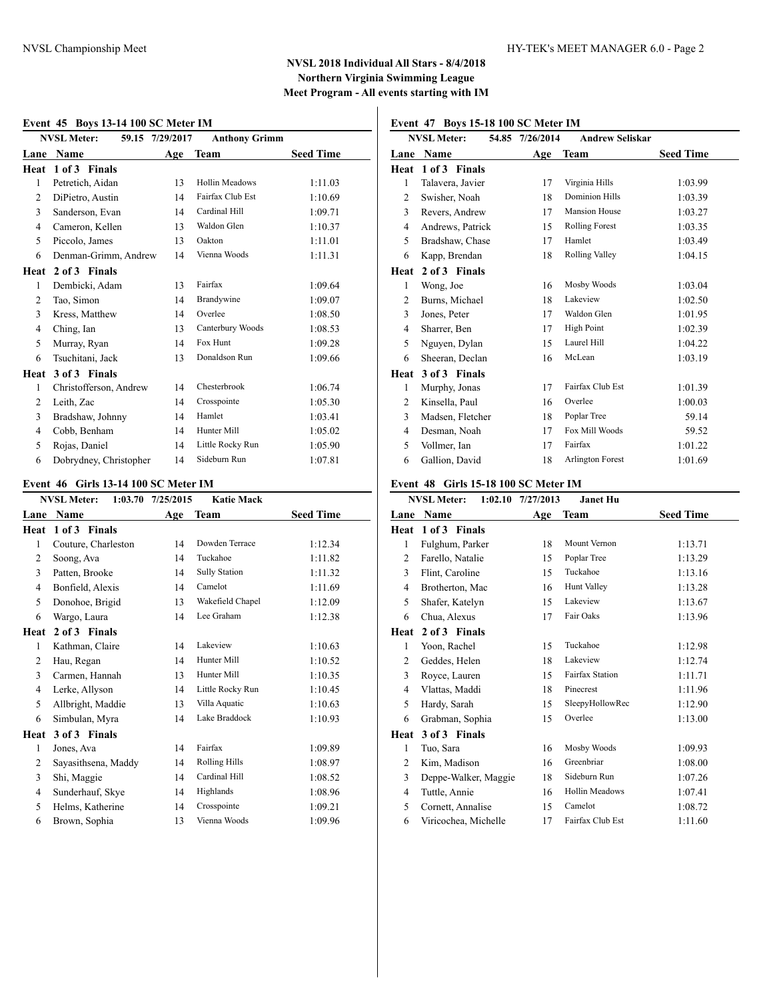#### **Event 45 Boys 13-14 100 SC Meter IM**

|                | EVENT 45 DOYS 15-14 TOO SC METER IM |                 |                       |                  |
|----------------|-------------------------------------|-----------------|-----------------------|------------------|
|                | <b>NVSL Meter:</b>                  | 59.15 7/29/2017 | <b>Anthony Grimm</b>  |                  |
| Lane           | Name                                | Age             | Team                  | <b>Seed Time</b> |
| Heat           | 1 of 3 Finals                       |                 |                       |                  |
| 1              | Petretich, Aidan                    | 13              | <b>Hollin Meadows</b> | 1:11.03          |
| 2              | DiPietro, Austin                    | 14              | Fairfax Club Est      | 1:10.69          |
| 3              | Sanderson, Evan                     | 14              | Cardinal Hill         | 1:09.71          |
| $\overline{4}$ | Cameron, Kellen                     | 13              | Waldon Glen           | 1:10.37          |
| 5              | Piccolo, James                      | 13              | Oakton                | 1:11.01          |
| 6              | Denman-Grimm, Andrew                | 14              | Vienna Woods          | 1:11.31          |
| Heat           | 2 of 3 Finals                       |                 |                       |                  |
| 1              | Dembicki, Adam                      | 13              | Fairfax               | 1:09.64          |
| $\overline{c}$ | Tao, Simon                          | 14              | Brandywine            | 1:09.07          |
| 3              | Kress, Matthew                      | 14              | Overlee               | 1:08.50          |
| 4              | Ching, Ian                          | 13              | Canterbury Woods      | 1:08.53          |
| 5              | Murray, Ryan                        | 14              | Fox Hunt              | 1:09.28          |
| 6              | Tsuchitani, Jack                    | 13              | Donaldson Run         | 1:09.66          |
| Heat           | 3 of 3 Finals                       |                 |                       |                  |
| 1              | Christofferson, Andrew              | 14              | Chesterbrook          | 1:06.74          |
| 2              | Leith, Zac                          | 14              | Crosspointe           | 1:05.30          |
| 3              | Bradshaw, Johnny                    | 14              | Hamlet                | 1:03.41          |
| 4              | Cobb, Benham                        | 14              | Hunter Mill           | 1:05.02          |
| 5              | Rojas, Daniel                       | 14              | Little Rocky Run      | 1:05.90          |
| 6              | Dobrydney, Christopher              | 14              | Sideburn Run          | 1:07.81          |

# **Event 46 Girls 13-14 100 SC Meter IM**

|                | <b>NVSL Meter:</b><br>1:03.70 | 7/25/2015 | <b>Katie Mack</b>    |                  |
|----------------|-------------------------------|-----------|----------------------|------------------|
| Lane           | Name                          | Age       | Team                 | <b>Seed Time</b> |
| Heat           | 1 of 3 Finals                 |           |                      |                  |
| 1              | Couture, Charleston           | 14        | Dowden Terrace       | 1:12.34          |
| 2              | Soong, Ava                    | 14        | Tuckahoe             | 1:11.82          |
| 3              | Patten, Brooke                | 14        | <b>Sully Station</b> | 1:11.32          |
| 4              | Bonfield, Alexis              | 14        | Camelot              | 1:11.69          |
| 5              | Donohoe, Brigid               | 13        | Wakefield Chapel     | 1:12.09          |
| 6              | Wargo, Laura                  | 14        | Lee Graham           | 1:12.38          |
| Heat           | 2 of 3 Finals                 |           |                      |                  |
| 1              | Kathman, Claire               | 14        | Lakeview             | 1:10.63          |
| 2              | Hau, Regan                    | 14        | Hunter Mill          | 1:10.52          |
| 3              | Carmen, Hannah                | 13        | Hunter Mill          | 1:10.35          |
| $\overline{4}$ | Lerke, Allyson                | 14        | Little Rocky Run     | 1:10.45          |
| 5              | Allbright, Maddie             | 13        | Villa Aquatic        | 1:10.63          |
| 6              | Simbulan, Myra                | 14        | Lake Braddock        | 1:10.93          |
| Heat           | 3 of 3 Finals                 |           |                      |                  |
| 1              | Jones, Ava                    | 14        | Fairfax              | 1:09.89          |
| 2              | Sayasithsena, Maddy           | 14        | <b>Rolling Hills</b> | 1:08.97          |
| 3              | Shi, Maggie                   | 14        | Cardinal Hill        | 1:08.52          |
| $\overline{4}$ | Sunderhauf, Skye              | 14        | Highlands            | 1:08.96          |
| 5              | Helms, Katherine              | 14        | Crosspointe          | 1:09.21          |
| 6              | Brown, Sophia                 | 13        | Vienna Woods         | 1:09.96          |
|                |                               |           |                      |                  |

# **Event 47 Boys 15-18 100 SC Meter IM**

|                | <b>NVSL Meter:</b> | 54.85 7/26/2014 | <b>Andrew Seliskar</b>  |                  |
|----------------|--------------------|-----------------|-------------------------|------------------|
| Lane           | Name               | Age             | <b>Team</b>             | <b>Seed Time</b> |
| Heat           | 1 of 3 Finals      |                 |                         |                  |
| 1              | Talavera, Javier   | 17              | Virginia Hills          | 1:03.99          |
| 2              | Swisher, Noah      | 18              | <b>Dominion Hills</b>   | 1:03.39          |
| 3              | Revers, Andrew     | 17              | <b>Mansion House</b>    | 1:03.27          |
| 4              | Andrews, Patrick   | 15              | <b>Rolling Forest</b>   | 1:03.35          |
| 5              | Bradshaw, Chase    | 17              | Hamlet                  | 1:03.49          |
| 6              | Kapp, Brendan      | 18              | <b>Rolling Valley</b>   | 1:04.15          |
| Heat           | 2 of 3 Finals      |                 |                         |                  |
| 1              | Wong, Joe          | 16              | Mosby Woods             | 1:03.04          |
| 2              | Burns, Michael     | 18              | Lakeview                | 1:02.50          |
| 3              | Jones, Peter       | 17              | Waldon Glen             | 1:01.95          |
| 4              | Sharrer, Ben       | 17              | <b>High Point</b>       | 1:02.39          |
| 5              | Nguyen, Dylan      | 15              | Laurel Hill             | 1:04.22          |
| 6              | Sheeran, Declan    | 16              | McLean                  | 1:03.19          |
| Heat           | 3 of 3 Finals      |                 |                         |                  |
| 1              | Murphy, Jonas      | 17              | Fairfax Club Est        | 1:01.39          |
| $\overline{c}$ | Kinsella, Paul     | 16              | Overlee                 | 1:00.03          |
| 3              | Madsen, Fletcher   | 18              | Poplar Tree             | 59.14            |
| 4              | Desman, Noah       | 17              | Fox Mill Woods          | 59.52            |
| 5              | Vollmer, Ian       | 17              | Fairfax                 | 1:01.22          |
| 6              | Gallion, David     | 18              | <b>Arlington Forest</b> | 1:01.69          |

#### **Event 48 Girls 15-18 100 SC Meter IM**

|                                      |                                                                                                                   | <b>Janet Hu</b>        |                   |
|--------------------------------------|-------------------------------------------------------------------------------------------------------------------|------------------------|-------------------|
| Name                                 | Age                                                                                                               | Team                   | <b>Seed Time</b>  |
| 1 of 3 Finals                        |                                                                                                                   |                        |                   |
| Fulghum, Parker                      | 18                                                                                                                | Mount Vernon           | 1:13.71           |
| Farello, Natalie                     | 15                                                                                                                | Poplar Tree            | 1:13.29           |
| Flint, Caroline                      | 15                                                                                                                | Tuckahoe               | 1:13.16           |
| Brotherton, Mac                      | 16                                                                                                                | Hunt Valley            | 1:13.28           |
| Shafer, Katelyn                      | 15                                                                                                                | Lakeview               | 1:13.67           |
| Chua, Alexus                         | 17                                                                                                                | Fair Oaks              | 1:13.96           |
| 2 of 3 Finals                        |                                                                                                                   |                        |                   |
| Yoon, Rachel                         | 15                                                                                                                | Tuckahoe               | 1:12.98           |
| Geddes, Helen                        | 18                                                                                                                | Lakeview               | 1:12.74           |
| Royce, Lauren                        | 15                                                                                                                | <b>Fairfax Station</b> | 1:11.71           |
| Vlattas, Maddi                       | 18                                                                                                                | Pinecrest              | 1:11.96           |
| Hardy, Sarah                         | 15                                                                                                                | SleepyHollowRec        | 1:12.90           |
| Grabman, Sophia                      | 15                                                                                                                | Overlee                | 1:13.00           |
| 3 of 3 Finals                        |                                                                                                                   |                        |                   |
| Tuo, Sara                            | 16                                                                                                                | Mosby Woods            | 1:09.93           |
| Kim, Madison                         | 16                                                                                                                | Greenbriar             | 1:08.00           |
|                                      | 18                                                                                                                | Sideburn Run           | 1:07.26           |
| Tuttle, Annie                        | 16                                                                                                                | <b>Hollin Meadows</b>  | 1:07.41           |
| Cornett, Annalise                    | 15                                                                                                                | Camelot                | 1:08.72           |
| Viricochea, Michelle                 | 17                                                                                                                | Fairfax Club Est       | 1:11.60           |
| 1<br>5<br>1<br>3<br>5<br>1<br>5<br>6 | <b>NVSL Meter:</b><br>Lane<br>Heat<br>2<br>3<br>4<br>6<br>Heat<br>2<br>$\overline{4}$<br>6<br>Heat<br>2<br>3<br>4 | Deppe-Walker, Maggie   | 1:02.10 7/27/2013 |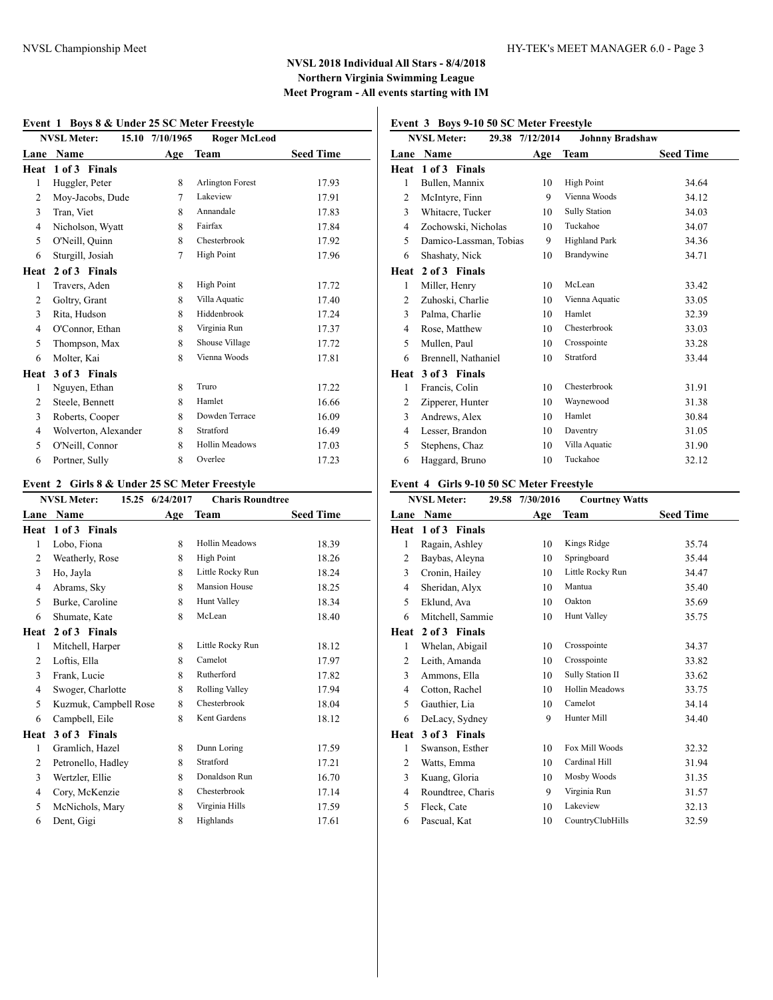#### **Event 1 Boys 8 & Under 25 SC Meter Freestyle**

|                | EVENT $\bf{r}$ boys $\bf{o}$ $\bf{\alpha}$ chuci 25 SC meter Preestyle |                 |                         |                  |
|----------------|------------------------------------------------------------------------|-----------------|-------------------------|------------------|
|                | <b>NVSL Meter:</b>                                                     | 15.10 7/10/1965 | <b>Roger McLeod</b>     |                  |
| Lane           | Name                                                                   | Age             | Team                    | <b>Seed Time</b> |
| Heat           | 1 of 3 Finals                                                          |                 |                         |                  |
| 1              | Huggler, Peter                                                         | 8               | <b>Arlington Forest</b> | 17.93            |
| $\overline{2}$ | Moy-Jacobs, Dude                                                       | 7               | Lakeview                | 17.91            |
| 3              | Tran, Viet                                                             | 8               | Annandale               | 17.83            |
| 4              | Nicholson, Wyatt                                                       | 8               | Fairfax                 | 17.84            |
| 5              | O'Neill, Quinn                                                         | 8               | Chesterbrook            | 17.92            |
| 6              | Sturgill, Josiah                                                       | 7               | <b>High Point</b>       | 17.96            |
| Heat           | 2 of 3 Finals                                                          |                 |                         |                  |
| 1              | Travers, Aden                                                          | 8               | High Point              | 17.72            |
| $\overline{2}$ | Goltry, Grant                                                          | 8               | Villa Aquatic           | 17.40            |
| 3              | Rita, Hudson                                                           | 8               | Hiddenbrook             | 17.24            |
| $\overline{4}$ | O'Connor, Ethan                                                        | 8               | Virginia Run            | 17.37            |
| 5              | Thompson, Max                                                          | 8               | Shouse Village          | 17.72            |
| 6              | Molter, Kai                                                            | 8               | Vienna Woods            | 17.81            |
| Heat           | 3 of 3 Finals                                                          |                 |                         |                  |
| 1              | Nguyen, Ethan                                                          | 8               | Truro                   | 17.22            |
| 2              | Steele, Bennett                                                        | 8               | Hamlet                  | 16.66            |
| 3              | Roberts, Cooper                                                        | 8               | Dowden Terrace          | 16.09            |
| $\overline{4}$ | Wolverton, Alexander                                                   | 8               | Stratford               | 16.49            |
| 5              | O'Neill, Connor                                                        | 8               | Hollin Meadows          | 17.03            |
| 6              | Portner, Sully                                                         | 8               | Overlee                 | 17.23            |

# **Event 2 Girls 8 & Under 25 SC Meter Freestyle**

|                | <b>NVSL Meter:</b><br>15.25 | 6/24/2017 | <b>Charis Roundtree</b> |                  |
|----------------|-----------------------------|-----------|-------------------------|------------------|
| Lane           | Name                        | Age       | <b>Team</b>             | <b>Seed Time</b> |
| Heat           | 1 of 3 Finals               |           |                         |                  |
| 1              | Lobo, Fiona                 | 8         | <b>Hollin Meadows</b>   | 18.39            |
| 2              | Weatherly, Rose             | 8         | <b>High Point</b>       | 18.26            |
| 3              | Ho, Jayla                   | 8         | Little Rocky Run        | 18.24            |
| 4              | Abrams, Sky                 | 8         | <b>Mansion House</b>    | 18.25            |
| 5              | Burke, Caroline             | 8         | Hunt Valley             | 18.34            |
| 6              | Shumate, Kate               | 8         | McLean                  | 18.40            |
| Heat           | 2 of 3 Finals               |           |                         |                  |
| 1              | Mitchell, Harper            | 8         | Little Rocky Run        | 18.12            |
| 2              | Loftis, Ella                | 8         | Camelot                 | 17.97            |
| 3              | Frank, Lucie                | 8         | Rutherford              | 17.82            |
| $\overline{4}$ | Swoger, Charlotte           | 8         | Rolling Valley          | 17.94            |
| 5              | Kuzmuk, Campbell Rose       | 8         | Chesterbrook            | 18.04            |
| 6              | Campbell, Eile              | 8         | Kent Gardens            | 18.12            |
| Heat           | 3 of 3 Finals               |           |                         |                  |
| 1              | Gramlich, Hazel             | 8         | Dunn Loring             | 17.59            |
| 2              | Petronello, Hadley          | 8         | Stratford               | 17.21            |
| 3              | Wertzler, Ellie             | 8         | Donaldson Run           | 16.70            |
| $\overline{4}$ | Cory, McKenzie              | 8         | Chesterbrook            | 17.14            |
| 5              | McNichols, Mary             | 8         | Virginia Hills          | 17.59            |
| 6              | Dent, Gigi                  | 8         | Highlands               | 17.61            |
|                |                             |           |                         |                  |

# **Event 3 Boys 9-10 50 SC Meter Freestyle**

|      | <b>NVSL Meter:</b>     | 29.38 7/12/2014 | <b>Johnny Bradshaw</b> |                  |
|------|------------------------|-----------------|------------------------|------------------|
| Lane | <b>Name</b>            | Age             | Team                   | <b>Seed Time</b> |
| Heat | 1 of 3 Finals          |                 |                        |                  |
| 1    | Bullen, Mannix         | 10              | <b>High Point</b>      | 34.64            |
| 2    | McIntyre, Finn         | 9               | Vienna Woods           | 34.12            |
| 3    | Whitacre, Tucker       | 10              | <b>Sully Station</b>   | 34.03            |
| 4    | Zochowski, Nicholas    | 10              | Tuckahoe               | 34.07            |
| 5    | Damico-Lassman, Tobias | 9               | <b>Highland Park</b>   | 34.36            |
| 6    | Shashaty, Nick         | 10              | Brandywine             | 34.71            |
| Heat | 2 of 3 Finals          |                 |                        |                  |
| 1    | Miller, Henry          | 10              | McLean                 | 33.42            |
| 2    | Zuhoski, Charlie       | 10              | Vienna Aquatic         | 33.05            |
| 3    | Palma, Charlie         | 10              | Hamlet                 | 32.39            |
| 4    | Rose, Matthew          | 10              | Chesterbrook           | 33.03            |
| 5    | Mullen, Paul           | 10              | Crosspointe            | 33.28            |
| 6    | Brennell, Nathaniel    | 10              | Stratford              | 33.44            |
| Heat | 3 of 3 Finals          |                 |                        |                  |
| 1    | Francis, Colin         | 10              | Chesterbrook           | 31.91            |
| 2    | Zipperer, Hunter       | 10              | Waynewood              | 31.38            |
| 3    | Andrews, Alex          | 10              | Hamlet                 | 30.84            |
| 4    | Lesser, Brandon        | 10              | Daventry               | 31.05            |
| 5    | Stephens, Chaz         | 10              | Villa Aquatic          | 31.90            |
| 6    | Haggard, Bruno         | 10              | Tuckahoe               | 32.12            |

### **Event 4 Girls 9-10 50 SC Meter Freestyle**

|                | <b>NVSL Meter:</b><br>29.58 | 7/30/2016 | <b>Courtney Watts</b> |                  |
|----------------|-----------------------------|-----------|-----------------------|------------------|
| Lane           | Name                        | Age       | Team                  | <b>Seed Time</b> |
| Heat           | 1 of 3 Finals               |           |                       |                  |
| 1              | Ragain, Ashley              | 10        | Kings Ridge           | 35.74            |
| 2              | Baybas, Aleyna              | 10        | Springboard           | 35.44            |
| 3              | Cronin, Hailey              | 10        | Little Rocky Run      | 34.47            |
| 4              | Sheridan, Alyx              | 10        | Mantua                | 35.40            |
| 5              | Eklund, Ava                 | 10        | Oakton                | 35.69            |
| 6              | Mitchell, Sammie            | 10        | <b>Hunt Valley</b>    | 35.75            |
| Heat           | 2 of 3 Finals               |           |                       |                  |
| 1              | Whelan, Abigail             | 10        | Crosspointe           | 34.37            |
| 2              | Leith, Amanda               | 10        | Crosspointe           | 33.82            |
| 3              | Ammons, Ella                | 10        | Sully Station II      | 33.62            |
| $\overline{4}$ | Cotton, Rachel              | 10        | <b>Hollin Meadows</b> | 33.75            |
| 5              | Gauthier, Lia               | 10        | Camelot               | 34.14            |
| 6              | DeLacy, Sydney              | 9         | Hunter Mill           | 34.40            |
| Heat           | 3 of 3 Finals               |           |                       |                  |
| 1              | Swanson, Esther             | 10        | Fox Mill Woods        | 32.32            |
| 2              | Watts, Emma                 | 10        | Cardinal Hill         | 31.94            |
| 3              | Kuang, Gloria               | 10        | Mosby Woods           | 31.35            |
| 4              | Roundtree, Charis           | 9         | Virginia Run          | 31.57            |
| 5              | Fleck, Cate                 | 10        | Lakeview              | 32.13            |
| 6              | Pascual, Kat                | 10        | CountryClubHills      | 32.59            |
|                |                             |           |                       |                  |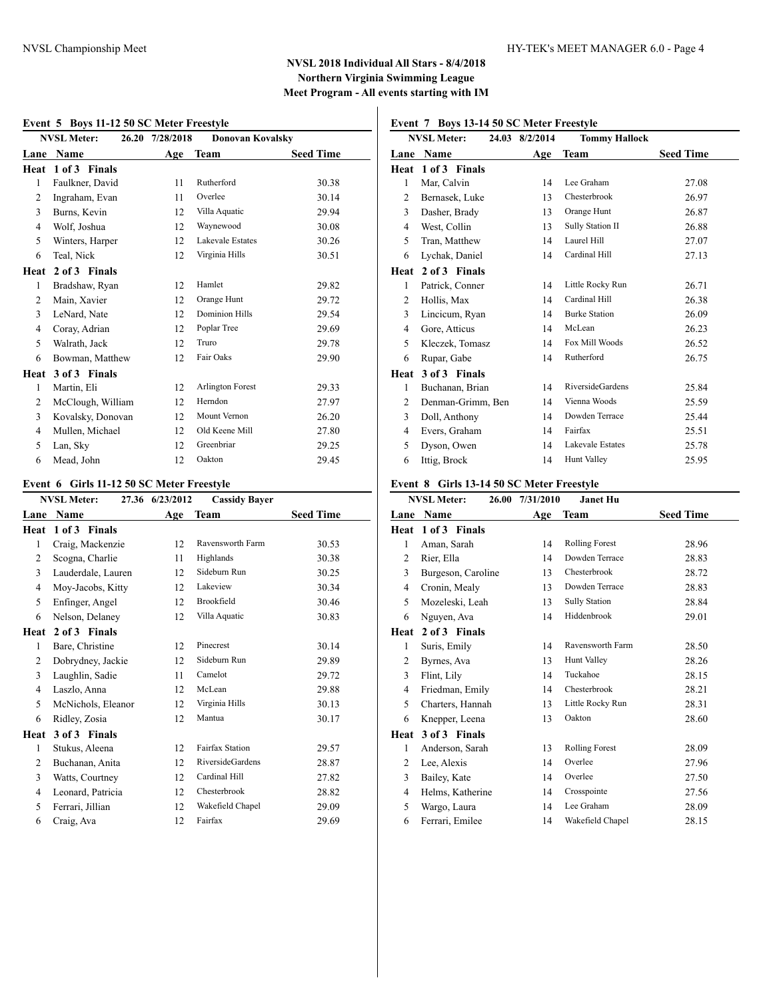#### **Event 5 Boys 11-12 50 SC Meter Freestyle**

| EVENT 3 DOYS II-12 30 SC METER PRESTYRE |                    |                 |                         |                  |  |
|-----------------------------------------|--------------------|-----------------|-------------------------|------------------|--|
|                                         | <b>NVSL Meter:</b> | 26.20 7/28/2018 | <b>Donovan Kovalsky</b> |                  |  |
| Lane                                    | Name               | Age             | Team                    | <b>Seed Time</b> |  |
| Heat                                    | 1 of 3 Finals      |                 |                         |                  |  |
| 1                                       | Faulkner, David    | 11              | Rutherford              | 30.38            |  |
| $\overline{2}$                          | Ingraham, Evan     | 11              | Overlee                 | 30.14            |  |
| 3                                       | Burns, Kevin       | 12              | Villa Aquatic           | 29.94            |  |
| 4                                       | Wolf, Joshua       | 12              | Waynewood               | 30.08            |  |
| 5                                       | Winters, Harper    | 12              | <b>Lakevale Estates</b> | 30.26            |  |
| 6                                       | Teal, Nick         | 12              | Virginia Hills          | 30.51            |  |
| Heat                                    | 2 of 3 Finals      |                 |                         |                  |  |
| 1                                       | Bradshaw, Ryan     | 12              | Hamlet                  | 29.82            |  |
| 2                                       | Main, Xavier       | 12              | Orange Hunt             | 29.72            |  |
| 3                                       | LeNard, Nate       | 12              | <b>Dominion Hills</b>   | 29.54            |  |
| $\overline{4}$                          | Coray, Adrian      | 12              | Poplar Tree             | 29.69            |  |
| 5                                       | Walrath, Jack      | 12              | Truro                   | 29.78            |  |
| 6                                       | Bowman, Matthew    | 12              | Fair Oaks               | 29.90            |  |
| Heat                                    | 3 of 3 Finals      |                 |                         |                  |  |
| 1                                       | Martin, Eli        | 12              | Arlington Forest        | 29.33            |  |
| $\overline{2}$                          | McClough, William  | 12              | Herndon                 | 27.97            |  |
| 3                                       | Kovalsky, Donovan  | 12              | Mount Vernon            | 26.20            |  |
| 4                                       | Mullen, Michael    | 12              | Old Keene Mill          | 27.80            |  |
| 5                                       | Lan, Sky           | 12              | Greenbriar              | 29.25            |  |
| 6                                       | Mead. John         | 12              | Oakton                  | 29.45            |  |

### **Event 6 Girls 11-12 50 SC Meter Freestyle**

|                | <b>NVSL Meter:</b> | 27.36 6/23/2012 | <b>Cassidy Bayer</b>    |                  |
|----------------|--------------------|-----------------|-------------------------|------------------|
| Lane           | Name               | Age             | Team                    | <b>Seed Time</b> |
| Heat           | 1 of 3 Finals      |                 |                         |                  |
| $\mathbf{1}$   | Craig, Mackenzie   | 12              | Ravensworth Farm        | 30.53            |
| 2              | Scogna, Charlie    | 11              | Highlands               | 30.38            |
| 3              | Lauderdale, Lauren | 12              | Sideburn Run            | 30.25            |
| $\overline{4}$ | Moy-Jacobs, Kitty  | 12              | Lakeview                | 30.34            |
| 5              | Enfinger, Angel    | 12              | Brookfield              | 30.46            |
| 6              | Nelson, Delaney    | 12              | Villa Aquatic           | 30.83            |
| Heat           | 2 of 3 Finals      |                 |                         |                  |
| 1              | Bare, Christine    | 12              | Pinecrest               | 30.14            |
| 2              | Dobrydney, Jackie  | 12              | Sideburn Run            | 29.89            |
| 3              | Laughlin, Sadie    | 11              | Camelot                 | 29.72            |
| $\overline{4}$ | Laszlo, Anna       | 12              | McLean                  | 29.88            |
| 5              | McNichols, Eleanor | 12              | Virginia Hills          | 30.13            |
| 6              | Ridley, Zosia      | 12              | Mantua                  | 30.17            |
| Heat           | 3 of 3 Finals      |                 |                         |                  |
| 1              | Stukus, Aleena     | 12              | <b>Fairfax Station</b>  | 29.57            |
| 2              | Buchanan, Anita    | 12              | <b>RiversideGardens</b> | 28.87            |
| 3              | Watts, Courtney    | 12              | Cardinal Hill           | 27.82            |
| $\overline{4}$ | Leonard, Patricia  | 12              | Chesterbrook            | 28.82            |
| 5              | Ferrari, Jillian   | 12              | Wakefield Chapel        | 29.09            |
| 6              | Craig, Ava         | 12              | Fairfax                 | 29.69            |
|                |                    |                 |                         |                  |

## **Event 7 Boys 13-14 50 SC Meter Freestyle**

|                | <b>NVSL Meter:</b> | 24.03 8/2/2014 | <b>Tommy Hallock</b>    |                  |
|----------------|--------------------|----------------|-------------------------|------------------|
| Lane           | Name               | Age            | Team                    | <b>Seed Time</b> |
| Heat           | 1 of 3 Finals      |                |                         |                  |
| 1              | Mar, Calvin        | 14             | Lee Graham              | 27.08            |
| 2              | Bernasek, Luke     | 13             | Chesterbrook            | 26.97            |
| 3              | Dasher, Brady      | 13             | Orange Hunt             | 26.87            |
| $\overline{4}$ | West, Collin       | 13             | Sully Station II        | 26.88            |
| 5              | Tran, Matthew      | 14             | Laurel Hill             | 27.07            |
| 6              | Lychak, Daniel     | 14             | Cardinal Hill           | 27.13            |
| Heat           | 2 of 3 Finals      |                |                         |                  |
| 1              | Patrick, Conner    | 14             | Little Rocky Run        | 26.71            |
| 2              | Hollis, Max        | 14             | Cardinal Hill           | 26.38            |
| 3              | Lincicum, Ryan     | 14             | <b>Burke Station</b>    | 26.09            |
| 4              | Gore, Atticus      | 14             | McLean                  | 26.23            |
| 5              | Kleczek, Tomasz    | 14             | Fox Mill Woods          | 26.52            |
| 6              | Rupar, Gabe        | 14             | Rutherford              | 26.75            |
| Heat           | 3 of 3 Finals      |                |                         |                  |
| 1              | Buchanan, Brian    | 14             | <b>RiversideGardens</b> | 25.84            |
| 2              | Denman-Grimm, Ben  | 14             | Vienna Woods            | 25.59            |
| 3              | Doll, Anthony      | 14             | Dowden Terrace          | 25.44            |
| $\overline{4}$ | Evers, Graham      | 14             | Fairfax                 | 25.51            |
| 5              | Dyson, Owen        | 14             | <b>Lakevale Estates</b> | 25.78            |
| 6              | Ittig, Brock       | 14             | <b>Hunt Valley</b>      | 25.95            |

### **Event 8 Girls 13-14 50 SC Meter Freestyle**

|      | <b>NVSL Meter:</b><br>26.00 | 7/31/2010 | <b>Janet Hu</b>       |                  |
|------|-----------------------------|-----------|-----------------------|------------------|
| Lane | Name                        | Age       | Team                  | <b>Seed Time</b> |
| Heat | 1 of 3 Finals               |           |                       |                  |
| 1    | Aman, Sarah                 | 14        | <b>Rolling Forest</b> | 28.96            |
| 2    | Rier, Ella                  | 14        | Dowden Terrace        | 28.83            |
| 3    | Burgeson, Caroline          | 13        | Chesterbrook          | 28.72            |
| 4    | Cronin, Mealy               | 13        | Dowden Terrace        | 28.83            |
| 5    | Mozeleski, Leah             | 13        | <b>Sully Station</b>  | 28.84            |
| 6    | Nguyen, Ava                 | 14        | Hiddenbrook           | 29.01            |
| Heat | 2 of 3 Finals               |           |                       |                  |
| 1    | Suris, Emily                | 14        | Ravensworth Farm      | 28.50            |
| 2    | Byrnes, Ava                 | 13        | Hunt Valley           | 28.26            |
| 3    | Flint, Lily                 | 14        | Tuckahoe              | 28.15            |
| 4    | Friedman, Emily             | 14        | Chesterbrook          | 28.21            |
| 5    | Charters, Hannah            | 13        | Little Rocky Run      | 28.31            |
| 6    | Knepper, Leena              | 13        | Oakton                | 28.60            |
| Heat | 3 of 3 Finals               |           |                       |                  |
| 1    | Anderson, Sarah             | 13        | <b>Rolling Forest</b> | 28.09            |
| 2    | Lee, Alexis                 | 14        | Overlee               | 27.96            |
| 3    | Bailey, Kate                | 14        | Overlee               | 27.50            |
| 4    | Helms, Katherine            | 14        | Crosspointe           | 27.56            |
| 5    | Wargo, Laura                | 14        | Lee Graham            | 28.09            |
| 6    | Ferrari, Emilee             | 14        | Wakefield Chapel      | 28.15            |
|      |                             |           |                       |                  |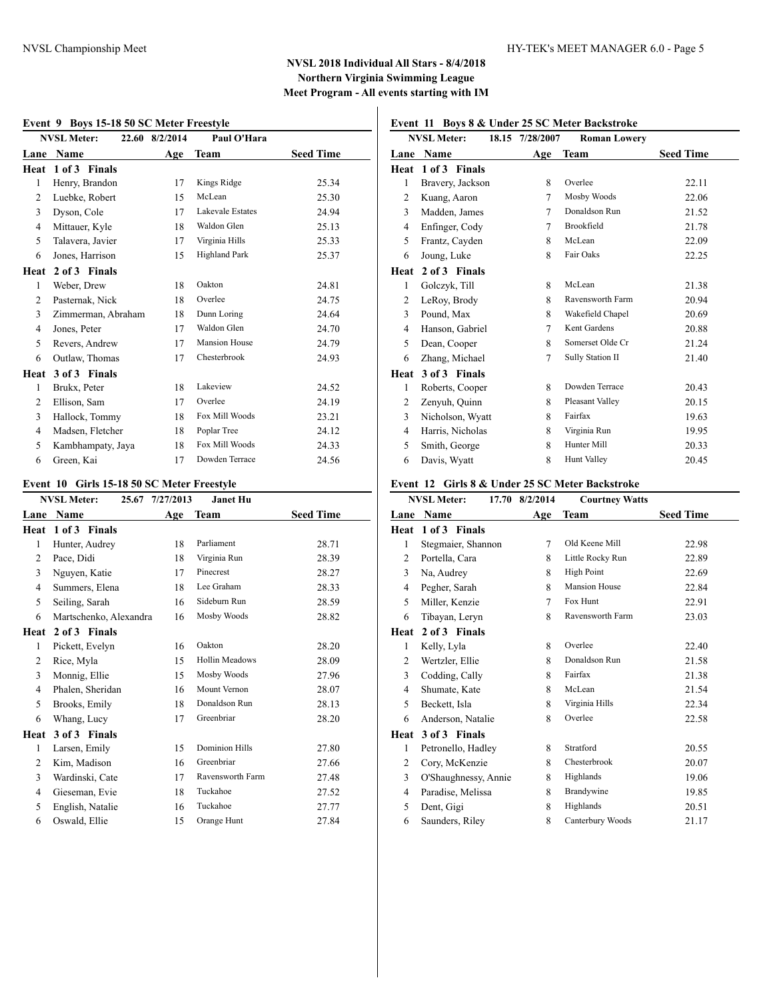#### **Event 9 Boys 15-18 50 SC Meter Freestyle**

|                | <b>NVSL Meter:</b> | 22.60 8/2/2014 | Paul O'Hara             |                  |
|----------------|--------------------|----------------|-------------------------|------------------|
| Lane           | Name               | Age            | Team                    | <b>Seed Time</b> |
| Heat           | 1 of 3 Finals      |                |                         |                  |
| 1              | Henry, Brandon     | 17             | Kings Ridge             | 25.34            |
| 2              | Luebke, Robert     | 15             | McLean                  | 25.30            |
| 3              | Dyson, Cole        | 17             | <b>Lakevale Estates</b> | 24.94            |
| $\overline{4}$ | Mittauer, Kyle     | 18             | Waldon Glen             | 25.13            |
| 5              | Talavera, Javier   | 17             | Virginia Hills          | 25.33            |
| 6              | Jones, Harrison    | 15             | <b>Highland Park</b>    | 25.37            |
| Heat           | 2 of 3 Finals      |                |                         |                  |
| 1              | Weber, Drew        | 18             | Oakton                  | 24.81            |
| $\overline{2}$ | Pasternak, Nick    | 18             | Overlee                 | 24.75            |
| 3              | Zimmerman, Abraham | 18             | Dunn Loring             | 24.64            |
| $\overline{4}$ | Jones, Peter       | 17             | Waldon Glen             | 24.70            |
| 5              | Revers, Andrew     | 17             | <b>Mansion House</b>    | 24.79            |
| 6              | Outlaw, Thomas     | 17             | Chesterbrook            | 24.93            |
| Heat           | 3 of 3 Finals      |                |                         |                  |
| 1              | Brukx, Peter       | 18             | Lakeview                | 24.52            |
| 2              | Ellison, Sam       | 17             | Overlee                 | 24.19            |
| 3              | Hallock, Tommy     | 18             | Fox Mill Woods          | 23.21            |
| $\overline{4}$ | Madsen, Fletcher   | 18             | Poplar Tree             | 24.12            |
| 5              | Kambhampaty, Jaya  | 18             | Fox Mill Woods          | 24.33            |
| 6              | Green, Kai         | 17             | Dowden Terrace          | 24.56            |

### **Event 10 Girls 15-18 50 SC Meter Freestyle**

|                | <b>NVSL Meter:</b><br>25.67 | 7/27/2013 | Janet Hu              |                  |
|----------------|-----------------------------|-----------|-----------------------|------------------|
| Lane           | Name                        | Age       | Team                  | <b>Seed Time</b> |
|                | Heat 1 of 3 Finals          |           |                       |                  |
| 1              | Hunter, Audrey              | 18        | Parliament            | 28.71            |
| 2              | Pace, Didi                  | 18        | Virginia Run          | 28.39            |
| 3              | Nguyen, Katie               | 17        | Pinecrest             | 28.27            |
| 4              | Summers, Elena              | 18        | Lee Graham            | 28.33            |
| 5              | Seiling, Sarah              | 16        | Sideburn Run          | 28.59            |
| 6              | Martschenko, Alexandra      | 16        | Mosby Woods           | 28.82            |
| Heat           | 2 of 3 Finals               |           |                       |                  |
| 1              | Pickett, Evelyn             | 16        | Oakton                | 28.20            |
| 2              | Rice, Myla                  | 15        | <b>Hollin Meadows</b> | 28.09            |
| $\overline{3}$ | Monnig, Ellie               | 15        | Mosby Woods           | 27.96            |
| $\overline{4}$ | Phalen, Sheridan            | 16        | Mount Vernon          | 28.07            |
| 5              | Brooks, Emily               | 18        | Donaldson Run         | 28.13            |
| 6              | Whang, Lucy                 | 17        | Greenbriar            | 28.20            |
| Heat           | 3 of 3 Finals               |           |                       |                  |
| 1              | Larsen, Emily               | 15        | <b>Dominion Hills</b> | 27.80            |
| 2              | Kim, Madison                | 16        | Greenbriar            | 27.66            |
| 3              | Wardinski, Cate             | 17        | Ravensworth Farm      | 27.48            |
| 4              | Gieseman, Evie              | 18        | Tuckahoe              | 27.52            |
| 5              | English, Natalie            | 16        | Tuckahoe              | 27.77            |
| 6              | Oswald, Ellie               | 15        | Orange Hunt           | 27.84            |
|                |                             |           |                       |                  |

# **Event 11 Boys 8 & Under 25 SC Meter Backstroke**

|      | <b>NVSL Meter:</b> | 18.15 7/28/2007 | <b>Roman Lowery</b> |                  |
|------|--------------------|-----------------|---------------------|------------------|
| Lane | Name               | Age             | <b>Team</b>         | <b>Seed Time</b> |
| Heat | 1 of 3 Finals      |                 |                     |                  |
| 1    | Bravery, Jackson   | 8               | Overlee             | 22.11            |
| 2    | Kuang, Aaron       | 7               | Mosby Woods         | 22.06            |
| 3    | Madden, James      | 7               | Donaldson Run       | 21.52            |
| 4    | Enfinger, Cody     | 7               | Brookfield          | 21.78            |
| 5    | Frantz, Cayden     | 8               | McLean              | 22.09            |
| 6    | Joung, Luke        | 8               | Fair Oaks           | 22.25            |
| Heat | 2 of 3 Finals      |                 |                     |                  |
| 1    | Golczyk, Till      | 8               | McLean              | 21.38            |
| 2    | LeRoy, Brody       | 8               | Ravensworth Farm    | 20.94            |
| 3    | Pound, Max         | 8               | Wakefield Chapel    | 20.69            |
| 4    | Hanson, Gabriel    | 7               | Kent Gardens        | 20.88            |
| 5    | Dean, Cooper       | 8               | Somerset Olde Cr    | 21.24            |
| 6    | Zhang, Michael     | 7               | Sully Station II    | 21.40            |
| Heat | 3 of 3 Finals      |                 |                     |                  |
| 1    | Roberts, Cooper    | 8               | Dowden Terrace      | 20.43            |
| 2    | Zenyuh, Quinn      | 8               | Pleasant Valley     | 20.15            |
| 3    | Nicholson, Wyatt   | 8               | Fairfax             | 19.63            |
| 4    | Harris, Nicholas   | 8               | Virginia Run        | 19.95            |
| 5    | Smith, George      | 8               | Hunter Mill         | 20.33            |
| 6    | Davis, Wyatt       | 8               | <b>Hunt Valley</b>  | 20.45            |

### **Event 12 Girls 8 & Under 25 SC Meter Backstroke**

|                | <b>NVSL Meter:</b>   | 17.70 8/2/2014 | <b>Courtney Watts</b> |                  |
|----------------|----------------------|----------------|-----------------------|------------------|
| Lane           | Name                 | Age            | <b>Team</b>           | <b>Seed Time</b> |
| Heat           | 1 of 3 Finals        |                |                       |                  |
| 1              | Stegmaier, Shannon   | $\tau$         | Old Keene Mill        | 22.98            |
| $\overline{c}$ | Portella, Cara       | 8              | Little Rocky Run      | 22.89            |
| 3              | Na, Audrey           | 8              | <b>High Point</b>     | 22.69            |
| 4              | Pegher, Sarah        | 8              | <b>Mansion House</b>  | 22.84            |
| 5              | Miller, Kenzie       | 7              | Fox Hunt              | 22.91            |
| 6              | Tibayan, Leryn       | 8              | Ravensworth Farm      | 23.03            |
| Heat           | 2 of 3 Finals        |                |                       |                  |
| 1              | Kelly, Lyla          | 8              | Overlee               | 22.40            |
| 2              | Wertzler, Ellie      | 8              | Donaldson Run         | 21.58            |
| 3              | Codding, Cally       | 8              | Fairfax               | 21.38            |
| $\overline{4}$ | Shumate, Kate        | 8              | McLean                | 21.54            |
| 5              | Beckett, Isla        | 8              | Virginia Hills        | 22.34            |
| 6              | Anderson, Natalie    | 8              | Overlee               | 22.58            |
| Heat           | 3 of 3 Finals        |                |                       |                  |
| 1              | Petronello, Hadley   | 8              | Stratford             | 20.55            |
| 2              | Cory, McKenzie       | 8              | Chesterbrook          | 20.07            |
| 3              | O'Shaughnessy, Annie | 8              | Highlands             | 19.06            |
| 4              | Paradise, Melissa    | 8              | Brandywine            | 19.85            |
| 5              | Dent, Gigi           | 8              | Highlands             | 20.51            |
| 6              | Saunders, Riley      | 8              | Canterbury Woods      | 21.17            |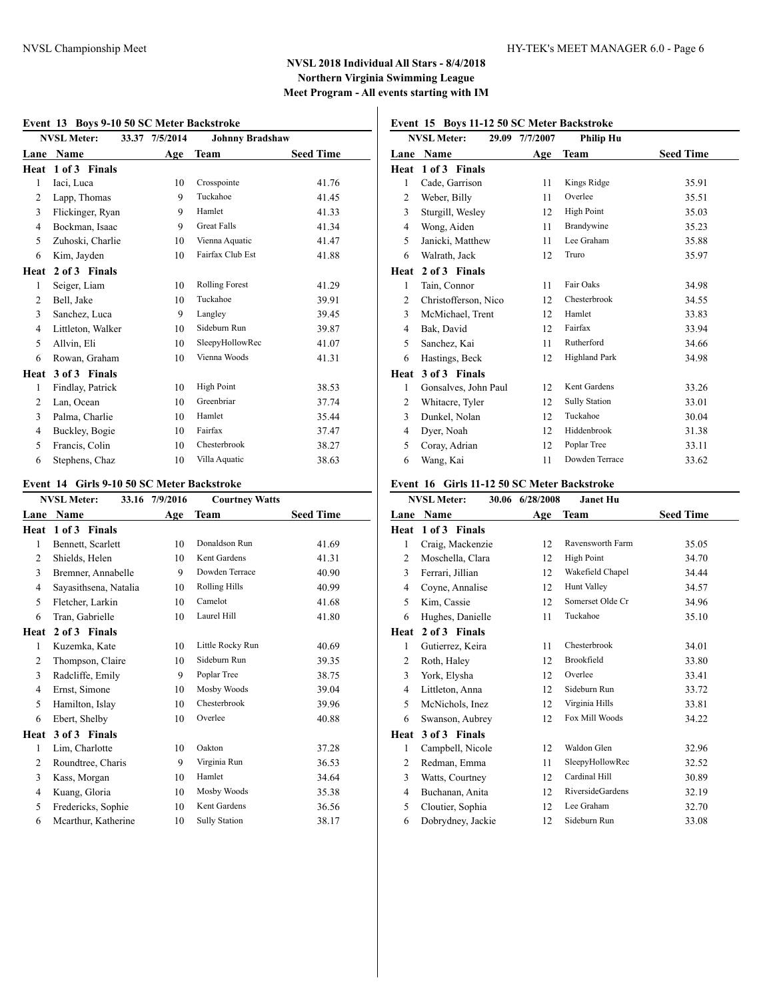#### **Event 13 Boys 9-10 50 SC Meter Backstroke**

|                | <b>NVSL Meter:</b> | 33.37 7/5/2014 | <b>Johnny Bradshaw</b> |                  |
|----------------|--------------------|----------------|------------------------|------------------|
| Lane           | Name               | Age            | Team                   | <b>Seed Time</b> |
| Heat           | 1 of 3 Finals      |                |                        |                  |
| 1              | Iaci, Luca         | 10             | Crosspointe            | 41.76            |
| 2              | Lapp, Thomas       | 9              | Tuckahoe               | 41.45            |
| 3              | Flickinger, Ryan   | 9              | Hamlet                 | 41.33            |
| $\overline{4}$ | Bockman, Isaac     | 9              | <b>Great Falls</b>     | 41.34            |
| 5              | Zuhoski, Charlie   | 10             | Vienna Aquatic         | 41.47            |
| 6              | Kim, Jayden        | 10             | Fairfax Club Est       | 41.88            |
| Heat           | 2 of 3 Finals      |                |                        |                  |
| 1              | Seiger, Liam       | 10             | <b>Rolling Forest</b>  | 41.29            |
| $\overline{2}$ | Bell, Jake         | 10             | Tuckahoe               | 39.91            |
| 3              | Sanchez, Luca      | 9              | Langley                | 39.45            |
| $\overline{4}$ | Littleton, Walker  | 10             | Sideburn Run           | 39.87            |
| 5              | Allvin, Eli        | 10             | SleepyHollowRec        | 41.07            |
| 6              | Rowan, Graham      | 10             | Vienna Woods           | 41.31            |
| Heat           | 3 of 3 Finals      |                |                        |                  |
| 1              | Findlay, Patrick   | 10             | <b>High Point</b>      | 38.53            |
| 2              | Lan, Ocean         | 10             | Greenbriar             | 37.74            |
| 3              | Palma, Charlie     | 10             | Hamlet                 | 35.44            |
| 4              | Buckley, Bogie     | 10             | Fairfax                | 37.47            |
| 5              | Francis, Colin     | 10             | Chesterbrook           | 38.27            |
| 6              | Stephens, Chaz     | 10             | Villa Aquatic          | 38.63            |

### **Event 14 Girls 9-10 50 SC Meter Backstroke**

|                | <b>NVSL Meter:</b><br>33.16 | 7/9/2016 | <b>Courtney Watts</b> |                  |
|----------------|-----------------------------|----------|-----------------------|------------------|
| Lane           | Name                        | Age      | <b>Team</b>           | <b>Seed Time</b> |
| Heat           | 1 of 3 Finals               |          |                       |                  |
| 1              | Bennett, Scarlett           | 10       | Donaldson Run         | 41.69            |
| 2              | Shields, Helen              | 10       | Kent Gardens          | 41.31            |
| 3              | Bremner, Annabelle          | 9        | Dowden Terrace        | 40.90            |
| 4              | Sayasithsena, Natalia       | 10       | Rolling Hills         | 40.99            |
| 5              | Fletcher, Larkin            | 10       | Camelot               | 41.68            |
| 6              | Tran, Gabrielle             | 10       | Laurel Hill           | 41.80            |
| Heat           | 2 of 3 Finals               |          |                       |                  |
| 1              | Kuzemka, Kate               | 10       | Little Rocky Run      | 40.69            |
| 2              | Thompson, Claire            | 10       | Sideburn Run          | 39.35            |
| 3              | Radcliffe, Emily            | 9        | Poplar Tree           | 38.75            |
| $\overline{4}$ | Ernst, Simone               | 10       | Mosby Woods           | 39.04            |
| 5              | Hamilton, Islay             | 10       | Chesterbrook          | 39.96            |
| 6              | Ebert, Shelby               | 10       | Overlee               | 40.88            |
| Heat           | 3 of 3 Finals               |          |                       |                  |
| 1              | Lim, Charlotte              | 10       | Oakton                | 37.28            |
| 2              | Roundtree, Charis           | 9        | Virginia Run          | 36.53            |
| 3              | Kass, Morgan                | 10       | Hamlet                | 34.64            |
| 4              | Kuang, Gloria               | 10       | Mosby Woods           | 35.38            |
| 5              | Fredericks, Sophie          | 10       | Kent Gardens          | 36.56            |
| 6              | Mcarthur, Katherine         | 10       | <b>Sully Station</b>  | 38.17            |
|                |                             |          |                       |                  |

## **Event 15 Boys 11-12 50 SC Meter Backstroke**

|                | <b>NVSL Meter:</b><br>29.09 | 7/7/2007 | <b>Philip Hu</b>     |                  |
|----------------|-----------------------------|----------|----------------------|------------------|
| Lane           | Name                        | Age      | Team                 | <b>Seed Time</b> |
| Heat           | 1 of 3 Finals               |          |                      |                  |
| 1              | Cade, Garrison              | 11       | Kings Ridge          | 35.91            |
| 2              | Weber, Billy                | 11       | Overlee              | 35.51            |
| 3              | Sturgill, Wesley            | 12       | <b>High Point</b>    | 35.03            |
| $\overline{4}$ | Wong, Aiden                 | 11       | Brandywine           | 35.23            |
| 5              | Janicki, Matthew            | 11       | Lee Graham           | 35.88            |
| 6              | Walrath, Jack               | 12       | Truro                | 35.97            |
| Heat           | 2 of 3 Finals               |          |                      |                  |
| 1              | Tain, Connor                | 11       | Fair Oaks            | 34.98            |
| $\overline{c}$ | Christofferson, Nico        | 12       | Chesterbrook         | 34.55            |
| 3              | McMichael, Trent            | 12       | Hamlet               | 33.83            |
| 4              | Bak, David                  | 12       | Fairfax              | 33.94            |
| 5              | Sanchez, Kai                | 11       | Rutherford           | 34.66            |
| 6              | Hastings, Beck              | 12       | <b>Highland Park</b> | 34.98            |
| Heat           | 3 of 3 Finals               |          |                      |                  |
| 1              | Gonsalves, John Paul        | 12       | Kent Gardens         | 33.26            |
| $\overline{c}$ | Whitacre, Tyler             | 12       | <b>Sully Station</b> | 33.01            |
| 3              | Dunkel, Nolan               | 12       | Tuckahoe             | 30.04            |
| 4              | Dyer, Noah                  | 12       | Hiddenbrook          | 31.38            |
| 5              | Coray, Adrian               | 12       | Poplar Tree          | 33.11            |
| 6              | Wang, Kai                   | 11       | Dowden Terrace       | 33.62            |

### **Event 16 Girls 11-12 50 SC Meter Backstroke**

|                | <b>NVSL Meter:</b> | 30.06 6/28/2008 | <b>Janet Hu</b>         |                  |
|----------------|--------------------|-----------------|-------------------------|------------------|
| Lane           | Name               | Age             | Team                    | <b>Seed Time</b> |
| Heat           | 1 of 3 Finals      |                 |                         |                  |
| 1              | Craig, Mackenzie   | 12              | Ravensworth Farm        | 35.05            |
| 2              | Moschella, Clara   | 12              | <b>High Point</b>       | 34.70            |
| 3              | Ferrari, Jillian   | 12              | Wakefield Chapel        | 34.44            |
| 4              | Coyne, Annalise    | 12              | <b>Hunt Valley</b>      | 34.57            |
| 5              | Kim, Cassie        | 12              | Somerset Olde Cr        | 34.96            |
| 6              | Hughes, Danielle   | 11              | Tuckahoe                | 35.10            |
| Heat           | 2 of 3 Finals      |                 |                         |                  |
| 1              | Gutierrez, Keira   | 11              | Chesterbrook            | 34.01            |
| 2              | Roth, Haley        | 12              | Brookfield              | 33.80            |
| 3              | York, Elysha       | 12              | Overlee                 | 33.41            |
| $\overline{4}$ | Littleton, Anna    | 12              | Sideburn Run            | 33.72            |
| 5              | McNichols, Inez    | 12              | Virginia Hills          | 33.81            |
| 6              | Swanson, Aubrey    | 12              | Fox Mill Woods          | 34.22            |
| Heat           | 3 of 3 Finals      |                 |                         |                  |
| 1              | Campbell, Nicole   | 12              | Waldon Glen             | 32.96            |
| $\overline{c}$ | Redman, Emma       | 11              | SleepyHollowRec         | 32.52            |
| 3              | Watts, Courtney    | 12              | Cardinal Hill           | 30.89            |
| 4              | Buchanan, Anita    | 12              | <b>RiversideGardens</b> | 32.19            |
| 5              | Cloutier, Sophia   | 12              | Lee Graham              | 32.70            |
| 6              | Dobrydney, Jackie  | 12              | Sideburn Run            | 33.08            |
|                |                    |                 |                         |                  |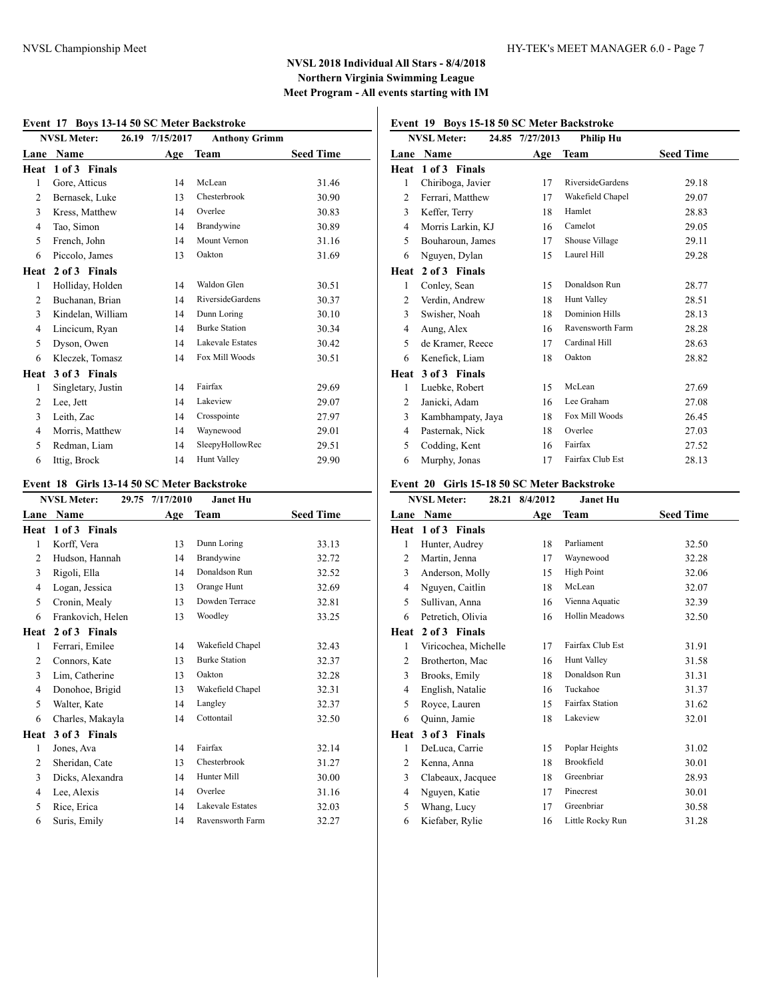#### **Event 17 Boys 13-14 50 SC Meter Backstroke**

|                | <b>NVSL Meter:</b><br>26.19 | 7/15/2017 | <b>Anthony Grimm</b>    |                  |
|----------------|-----------------------------|-----------|-------------------------|------------------|
| Lane           | Name                        | Age       | Team                    | <b>Seed Time</b> |
| Heat           | 1 of 3 Finals               |           |                         |                  |
| 1              | Gore, Atticus               | 14        | McLean                  | 31.46            |
| 2              | Bernasek, Luke              | 13        | Chesterbrook            | 30.90            |
| 3              | Kress, Matthew              | 14        | Overlee                 | 30.83            |
| $\overline{4}$ | Tao, Simon                  | 14        | Brandywine              | 30.89            |
| 5              | French, John                | 14        | Mount Vernon            | 31.16            |
| 6              | Piccolo, James              | 13        | Oakton                  | 31.69            |
| Heat           | 2 of 3 Finals               |           |                         |                  |
| 1              | Holliday, Holden            | 14        | Waldon Glen             | 30.51            |
| $\overline{2}$ | Buchanan, Brian             | 14        | <b>RiversideGardens</b> | 30.37            |
| 3              | Kindelan, William           | 14        | Dunn Loring             | 30.10            |
| 4              | Lincicum, Ryan              | 14        | <b>Burke Station</b>    | 30.34            |
| 5              | Dyson, Owen                 | 14        | Lakevale Estates        | 30.42            |
| 6              | Kleczek, Tomasz             | 14        | Fox Mill Woods          | 30.51            |
| Heat           | 3 of 3 Finals               |           |                         |                  |
| 1              | Singletary, Justin          | 14        | Fairfax                 | 29.69            |
| 2              | Lee, Jett                   | 14        | Lakeview                | 29.07            |
| 3              | Leith, Zac                  | 14        | Crosspointe             | 27.97            |
| $\overline{4}$ | Morris, Matthew             | 14        | Waynewood               | 29.01            |
| 5              | Redman, Liam                | 14        | SleepyHollowRec         | 29.51            |
| 6              | Ittig, Brock                | 14        | <b>Hunt Valley</b>      | 29.90            |

### **Event 18 Girls 13-14 50 SC Meter Backstroke**

|                | <b>NVSL Meter:</b><br>29.75 | 7/17/2010 | <b>Janet Hu</b>      |                  |
|----------------|-----------------------------|-----------|----------------------|------------------|
| Lane           | Name                        | Age       | Team                 | <b>Seed Time</b> |
| Heat           | 1 of 3 Finals               |           |                      |                  |
| 1              | Korff, Vera                 | 13        | Dunn Loring          | 33.13            |
| $\overline{2}$ | Hudson, Hannah              | 14        | Brandywine           | 32.72            |
| 3              | Rigoli, Ella                | 14        | Donaldson Run        | 32.52            |
| 4              | Logan, Jessica              | 13        | Orange Hunt          | 32.69            |
| 5              | Cronin, Mealy               | 13        | Dowden Terrace       | 32.81            |
| 6              | Frankovich, Helen           | 13        | Woodley              | 33.25            |
| Heat           | 2 of 3 Finals               |           |                      |                  |
| 1              | Ferrari, Emilee             | 14        | Wakefield Chapel     | 32.43            |
| 2              | Connors, Kate               | 13        | <b>Burke Station</b> | 32.37            |
| 3              | Lim, Catherine              | 13        | Oakton               | 32.28            |
| $\overline{4}$ | Donohoe, Brigid             | 13        | Wakefield Chapel     | 32.31            |
| 5              | Walter, Kate                | 14        | Langley              | 32.37            |
| 6              | Charles, Makayla            | 14        | Cottontail           | 32.50            |
| Heat           | 3 of 3 Finals               |           |                      |                  |
| $\mathbf{1}$   | Jones, Ava                  | 14        | Fairfax              | 32.14            |
| $\overline{2}$ | Sheridan, Cate              | 13        | Chesterbrook         | 31.27            |
| 3              | Dicks, Alexandra            | 14        | Hunter Mill          | 30.00            |
| 4              | Lee, Alexis                 | 14        | Overlee              | 31.16            |
| 5              | Rice, Erica                 | 14        | Lakevale Estates     | 32.03            |
| 6              | Suris, Emily                | 14        | Ravensworth Farm     | 32.27            |
|                |                             |           |                      |                  |

# **Event 19 Boys 15-18 50 SC Meter Backstroke**

|                | <b>NVSL Meter:</b> | 24.85 7/27/2013 | <b>Philip Hu</b>        |                  |
|----------------|--------------------|-----------------|-------------------------|------------------|
| Lane           | Name               | Age             | <b>Team</b>             | <b>Seed Time</b> |
| Heat           | 1 of 3 Finals      |                 |                         |                  |
| 1              | Chiriboga, Javier  | 17              | <b>RiversideGardens</b> | 29.18            |
| 2              | Ferrari, Matthew   | 17              | Wakefield Chapel        | 29.07            |
| 3              | Keffer, Terry      | 18              | Hamlet                  | 28.83            |
| $\overline{4}$ | Morris Larkin, KJ  | 16              | Camelot                 | 29.05            |
| 5              | Bouharoun, James   | 17              | Shouse Village          | 29.11            |
| 6              | Nguyen, Dylan      | 15              | Laurel Hill             | 29.28            |
| Heat           | 2 of 3 Finals      |                 |                         |                  |
| 1              | Conley, Sean       | 15              | Donaldson Run           | 28.77            |
| 2              | Verdin, Andrew     | 18              | <b>Hunt Valley</b>      | 28.51            |
| 3              | Swisher, Noah      | 18              | <b>Dominion Hills</b>   | 28.13            |
| 4              | Aung, Alex         | 16              | Ravensworth Farm        | 28.28            |
| 5              | de Kramer, Reece   | 17              | Cardinal Hill           | 28.63            |
| 6              | Kenefick, Liam     | 18              | Oakton                  | 28.82            |
| Heat           | 3 of 3 Finals      |                 |                         |                  |
| 1              | Luebke, Robert     | 15              | McLean                  | 27.69            |
| 2              | Janicki, Adam      | 16              | Lee Graham              | 27.08            |
| 3              | Kambhampaty, Jaya  | 18              | Fox Mill Woods          | 26.45            |
| 4              | Pasternak, Nick    | 18              | Overlee                 | 27.03            |
| 5              | Codding, Kent      | 16              | Fairfax                 | 27.52            |
| 6              | Murphy, Jonas      | 17              | Fairfax Club Est        | 28.13            |

### **Event 20 Girls 15-18 50 SC Meter Backstroke**

|                | <b>NVSL Meter:</b><br>28.21 | 8/4/2012 | <b>Janet Hu</b>        |                  |
|----------------|-----------------------------|----------|------------------------|------------------|
| Lane           | Name                        | Age      | Team                   | <b>Seed Time</b> |
| Heat           | 1 of 3 Finals               |          |                        |                  |
| 1              | Hunter, Audrey              | 18       | Parliament             | 32.50            |
| $\overline{c}$ | Martin, Jenna               | 17       | Waynewood              | 32.28            |
| 3              | Anderson, Molly             | 15       | <b>High Point</b>      | 32.06            |
| $\overline{4}$ | Nguyen, Caitlin             | 18       | McLean                 | 32.07            |
| 5              | Sullivan, Anna              | 16       | Vienna Aquatic         | 32.39            |
| 6              | Petretich, Olivia           | 16       | <b>Hollin Meadows</b>  | 32.50            |
| Heat           | 2 of 3 Finals               |          |                        |                  |
| 1              | Viricochea, Michelle        | 17       | Fairfax Club Est       | 31.91            |
| 2              | Brotherton, Mac             | 16       | <b>Hunt Valley</b>     | 31.58            |
| 3              | Brooks, Emily               | 18       | Donaldson Run          | 31.31            |
| $\overline{4}$ | English, Natalie            | 16       | Tuckahoe               | 31.37            |
| 5              | Royce, Lauren               | 15       | <b>Fairfax Station</b> | 31.62            |
| 6              | Quinn, Jamie                | 18       | Lakeview               | 32.01            |
| Heat           | 3 of 3 Finals               |          |                        |                  |
| 1              | DeLuca, Carrie              | 15       | Poplar Heights         | 31.02            |
| $\overline{2}$ | Kenna, Anna                 | 18       | Brookfield             | 30.01            |
| 3              | Clabeaux, Jacquee           | 18       | Greenbriar             | 28.93            |
| 4              | Nguyen, Katie               | 17       | Pinecrest              | 30.01            |
| 5              | Whang, Lucy                 | 17       | Greenbriar             | 30.58            |
| 6              | Kiefaber, Rylie             | 16       | Little Rocky Run       | 31.28            |
|                |                             |          |                        |                  |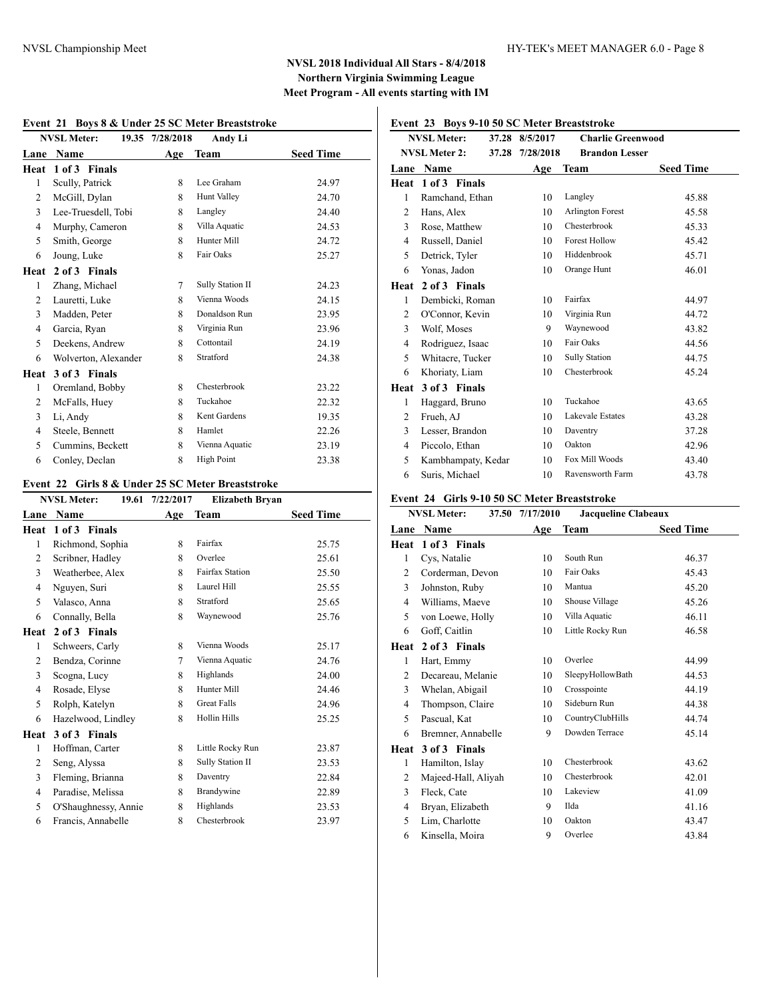|                | <b>NVSL Meter:</b>   | 19.35 7/28/2018 | Andy Li           |                  |
|----------------|----------------------|-----------------|-------------------|------------------|
| Lane           | Name                 | Age             | <b>Team</b>       | <b>Seed Time</b> |
| Heat           | 1 of 3 Finals        |                 |                   |                  |
| 1              | Scully, Patrick      | 8               | Lee Graham        | 24.97            |
| 2              | McGill, Dylan        | 8               | Hunt Valley       | 24.70            |
| 3              | Lee-Truesdell, Tobi  | 8               | Langley           | 24.40            |
| $\overline{4}$ | Murphy, Cameron      | 8               | Villa Aquatic     | 24.53            |
| 5              | Smith, George        | 8               | Hunter Mill       | 24.72            |
| 6              | Joung, Luke          | 8               | Fair Oaks         | 25.27            |
| Heat           | 2 of 3 Finals        |                 |                   |                  |
| 1              | Zhang, Michael       | 7               | Sully Station II  | 24.23            |
| $\overline{2}$ | Lauretti, Luke       | 8               | Vienna Woods      | 24.15            |
| 3              | Madden, Peter        | 8               | Donaldson Run     | 23.95            |
| 4              | Garcia, Ryan         | 8               | Virginia Run      | 23.96            |
| 5              | Deekens, Andrew      | 8               | Cottontail        | 24.19            |
| 6              | Wolverton, Alexander | 8               | Stratford         | 24.38            |
| Heat           | 3 of 3 Finals        |                 |                   |                  |
| 1              | Oremland, Bobby      | 8               | Chesterbrook      | 23.22            |
| 2              | McFalls, Huey        | 8               | Tuckahoe          | 22.32            |
| 3              | Li, Andy             | 8               | Kent Gardens      | 19.35            |
| $\overline{4}$ | Steele, Bennett      | 8               | Hamlet            | 22.26            |
| 5              | Cummins, Beckett     | 8               | Vienna Aquatic    | 23.19            |
| 6              | Conley, Declan       | 8               | <b>High Point</b> | 23.38            |

#### **Event 21 Boys 8 & Under 25 SC Meter Breaststroke**

#### **Event 22 Girls 8 & Under 25 SC Meter Breaststroke**

|                | <b>NVSL Meter:</b><br>19.61 | 7/22/2017      | <b>Elizabeth Bryan</b> |                  |
|----------------|-----------------------------|----------------|------------------------|------------------|
| Lane           | Name                        | Age            | Team                   | <b>Seed Time</b> |
| Heat           | 1 of 3 Finals               |                |                        |                  |
| 1              | Richmond, Sophia            | 8              | Fairfax                | 25.75            |
| $\overline{2}$ | Scribner, Hadley            | 8              | Overlee                | 25.61            |
| 3              | Weatherbee, Alex            | 8              | <b>Fairfax Station</b> | 25.50            |
| 4              | Nguyen, Suri                | 8              | Laurel Hill            | 25.55            |
| 5              | Valasco, Anna               | 8              | Stratford              | 25.65            |
| 6              | Connally, Bella             | 8              | Waynewood              | 25.76            |
| Heat           | 2 of 3 Finals               |                |                        |                  |
| 1              | Schweers, Carly             | 8              | Vienna Woods           | 25.17            |
| 2              | Bendza, Corinne             | $\overline{7}$ | Vienna Aquatic         | 24.76            |
| 3              | Scogna, Lucy                | 8              | Highlands              | 24.00            |
| $\overline{4}$ | Rosade, Elyse               | 8              | Hunter Mill            | 24.46            |
| 5              | Rolph, Katelyn              | 8              | <b>Great Falls</b>     | 24.96            |
| 6              | Hazelwood, Lindley          | 8              | <b>Hollin Hills</b>    | 25.25            |
| Heat           | 3 of 3 Finals               |                |                        |                  |
| 1              | Hoffman, Carter             | 8              | Little Rocky Run       | 23.87            |
| $\overline{c}$ | Seng, Alyssa                | 8              | Sully Station II       | 23.53            |
| 3              | Fleming, Brianna            | 8              | Daventry               | 22.84            |
| 4              | Paradise, Melissa           | 8              | Brandywine             | 22.89            |
| 5              | O'Shaughnessy, Annie        | 8              | Highlands              | 23.53            |
| 6              | Francis, Annabelle          | 8              | Chesterbrook           | 23.97            |
|                |                             |                |                        |                  |

## **Event 23 Boys 9-10 50 SC Meter Breaststroke**

|                | <b>NVSL Meter:</b><br>37.28   | 8/5/2017  | <b>Charlie Greenwood</b> |                  |
|----------------|-------------------------------|-----------|--------------------------|------------------|
|                | <b>NVSL Meter 2:</b><br>37.28 | 7/28/2018 | <b>Brandon Lesser</b>    |                  |
| Lane           | <b>Name</b>                   | Age       | Team                     | <b>Seed Time</b> |
| Heat           | 1 of 3 Finals                 |           |                          |                  |
| $\mathbf{1}$   | Ramchand, Ethan               | 10        | Langley                  | 45.88            |
| 2              | Hans, Alex                    | 10        | Arlington Forest         | 45.58            |
| 3              | Rose, Matthew                 | 10        | Chesterbrook             | 45.33            |
| $\overline{4}$ | Russell, Daniel               | 10        | <b>Forest Hollow</b>     | 45.42            |
| 5              | Detrick, Tyler                | 10        | Hiddenbrook              | 45.71            |
| 6              | Yonas, Jadon                  | 10        | Orange Hunt              | 46.01            |
| Heat           | 2 of 3 Finals                 |           |                          |                  |
| 1              | Dembicki, Roman               | 10        | Fairfax                  | 44.97            |
| 2              | O'Connor, Kevin               | 10        | Virginia Run             | 44.72            |
| 3              | Wolf, Moses                   | 9         | Waynewood                | 43.82            |
| $\overline{4}$ | Rodriguez, Isaac              | 10        | Fair Oaks                | 44.56            |
| 5              | Whitacre, Tucker              | 10        | <b>Sully Station</b>     | 44.75            |
| 6              | Khoriaty, Liam                | 10        | Chesterbrook             | 45.24            |
| Heat           | 3 of 3 Finals                 |           |                          |                  |
| 1              | Haggard, Bruno                | 10        | Tuckahoe                 | 43.65            |
| $\overline{2}$ | Frueh, AJ                     | 10        | Lakevale Estates         | 43.28            |
| 3              | Lesser, Brandon               | 10        | Daventry                 | 37.28            |
| $\overline{4}$ | Piccolo, Ethan                | 10        | Oakton                   | 42.96            |
| 5              | Kambhampaty, Kedar            | 10        | Fox Mill Woods           | 43.40            |
| 6              | Suris, Michael                | 10        | Ravensworth Farm         | 43.78            |

### **Event 24 Girls 9-10 50 SC Meter Breaststroke**

|                | <b>NVSL Meter:</b>  | 37.50 7/17/2010 | <b>Jacqueline Clabeaux</b> |                  |
|----------------|---------------------|-----------------|----------------------------|------------------|
| Lane           | Name                | Age             | <b>Team</b>                | <b>Seed Time</b> |
| Heat           | 1 of 3 Finals       |                 |                            |                  |
| 1              | Cys, Natalie        | 10              | South Run                  | 46.37            |
| 2              | Corderman, Devon    | 10              | Fair Oaks                  | 45.43            |
| 3              | Johnston, Ruby      | 10              | Mantua                     | 45.20            |
| 4              | Williams, Maeve     | 10              | Shouse Village             | 45.26            |
| 5              | von Loewe, Holly    | 10              | Villa Aquatic              | 46.11            |
| 6              | Goff, Caitlin       | 10              | Little Rocky Run           | 46.58            |
| Heat           | 2 of 3 Finals       |                 |                            |                  |
| 1              | Hart, Emmy          | 10              | Overlee                    | 44.99            |
| 2              | Decareau, Melanie   | 10              | SleepyHollowBath           | 44.53            |
| 3              | Whelan, Abigail     | 10              | Crosspointe                | 44.19            |
| $\overline{4}$ | Thompson, Claire    | 10              | Sideburn Run               | 44.38            |
| 5              | Pascual, Kat        | 10              | CountryClubHills           | 44.74            |
| 6              | Bremner, Annabelle  | 9               | Dowden Terrace             | 45.14            |
| Heat           | 3 of 3 Finals       |                 |                            |                  |
| 1              | Hamilton, Islay     | 10              | Chesterbrook               | 43.62            |
| 2              | Majeed-Hall, Aliyah | 10              | Chesterbrook               | 42.01            |
| 3              | Fleck, Cate         | 10              | Lakeview                   | 41.09            |
| 4              | Bryan, Elizabeth    | 9               | Ilda                       | 41.16            |
| 5              | Lim, Charlotte      | 10              | Oakton                     | 43.47            |
| 6              | Kinsella, Moira     | 9               | Overlee                    | 43.84            |
|                |                     |                 |                            |                  |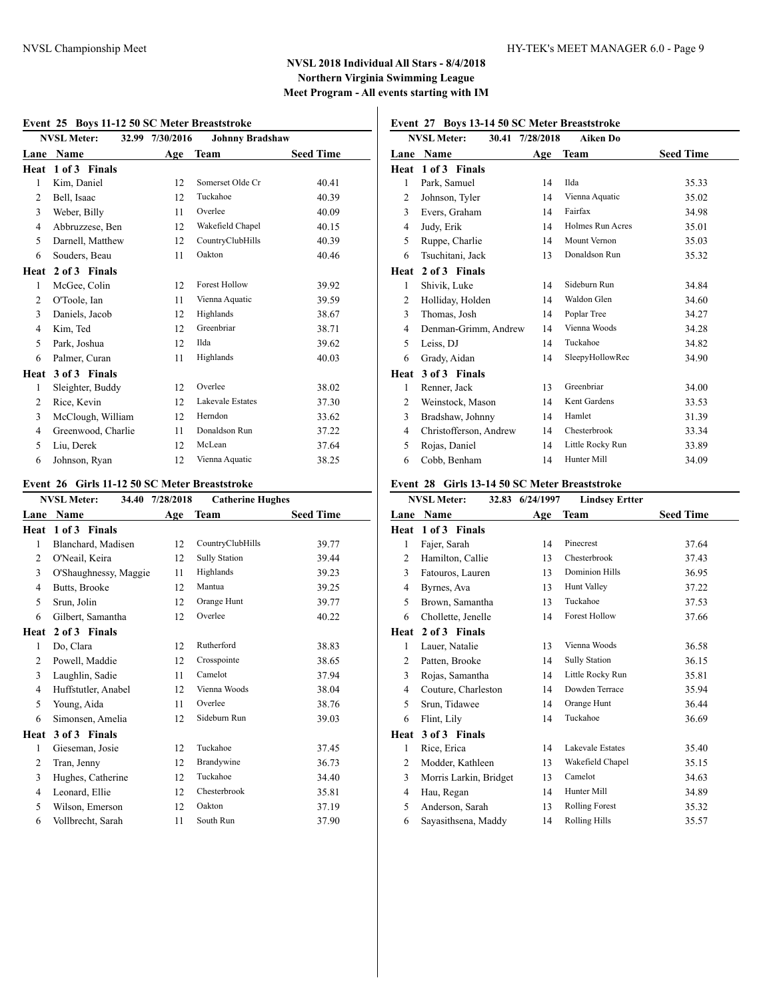#### **Event 25 Boys 11-12 50 SC Meter Breaststroke**

|                | EVENT 25 DOYS IT 12 50 SC METER DI CASISTI UNE |                 |                         |                  |  |  |
|----------------|------------------------------------------------|-----------------|-------------------------|------------------|--|--|
|                | <b>NVSL Meter:</b>                             | 32.99 7/30/2016 | <b>Johnny Bradshaw</b>  |                  |  |  |
| Lane           | Name                                           | Age             | Team                    | <b>Seed Time</b> |  |  |
| Heat           | 1 of 3 Finals                                  |                 |                         |                  |  |  |
| $\mathbf{1}$   | Kim, Daniel                                    | 12              | Somerset Olde Cr        | 40.41            |  |  |
| $\overline{c}$ | Bell, Isaac                                    | 12              | Tuckahoe                | 40.39            |  |  |
| 3              | Weber, Billy                                   | 11              | Overlee                 | 40.09            |  |  |
| 4              | Abbruzzese, Ben                                | 12              | Wakefield Chapel        | 40.15            |  |  |
| 5              | Darnell, Matthew                               | 12              | CountryClubHills        | 40.39            |  |  |
| 6              | Souders, Beau                                  | 11              | Oakton                  | 40.46            |  |  |
| Heat           | 2 of 3 Finals                                  |                 |                         |                  |  |  |
| 1              | McGee, Colin                                   | 12              | <b>Forest Hollow</b>    | 39.92            |  |  |
| 2              | O'Toole, Ian                                   | 11              | Vienna Aquatic          | 39.59            |  |  |
| 3              | Daniels, Jacob                                 | 12              | Highlands               | 38.67            |  |  |
| 4              | Kim, Ted                                       | 12              | Greenbriar              | 38.71            |  |  |
| 5              | Park, Joshua                                   | 12              | Ilda                    | 39.62            |  |  |
| 6              | Palmer, Curan                                  | 11              | Highlands               | 40.03            |  |  |
| Heat           | 3 of 3 Finals                                  |                 |                         |                  |  |  |
| 1              | Sleighter, Buddy                               | 12              | Overlee                 | 38.02            |  |  |
| 2              | Rice, Kevin                                    | 12              | <b>Lakevale Estates</b> | 37.30            |  |  |
| 3              | McClough, William                              | 12              | Herndon                 | 33.62            |  |  |
| 4              | Greenwood, Charlie                             | 11              | Donaldson Run           | 37.22            |  |  |
| 5              | Liu, Derek                                     | 12              | McLean                  | 37.64            |  |  |
| 6              | Johnson, Ryan                                  | 12              | Vienna Aquatic          | 38.25            |  |  |

### **Event 26 Girls 11-12 50 SC Meter Breaststroke**

|                | <b>NVSL Meter:</b><br>34.40 | 7/28/2018 | <b>Catherine Hughes</b> |                  |
|----------------|-----------------------------|-----------|-------------------------|------------------|
| Lane           | Name                        | Age       | <b>Team</b>             | <b>Seed Time</b> |
| Heat           | 1 of 3 Finals               |           |                         |                  |
| 1              | Blanchard, Madisen          | 12        | CountryClubHills        | 39.77            |
| 2              | O'Neail, Keira              | 12        | <b>Sully Station</b>    | 39.44            |
| 3              | O'Shaughnessy, Maggie       | 11        | Highlands               | 39.23            |
| 4              | Butts, Brooke               | 12        | Mantua                  | 39.25            |
| 5              | Srun, Jolin                 | 12        | Orange Hunt             | 39.77            |
| 6              | Gilbert, Samantha           | 12        | Overlee                 | 40.22            |
| Heat           | 2 of 3 Finals               |           |                         |                  |
| 1              | Do, Clara                   | 12        | Rutherford              | 38.83            |
| 2              | Powell, Maddie              | 12        | Crosspointe             | 38.65            |
| $\overline{3}$ | Laughlin, Sadie             | 11        | Camelot                 | 37.94            |
| 4              | Huffstutler, Anabel         | 12        | Vienna Woods            | 38.04            |
| 5              | Young, Aida                 | 11        | Overlee                 | 38.76            |
| 6              | Simonsen, Amelia            | 12        | Sideburn Run            | 39.03            |
| Heat           | 3 of 3 Finals               |           |                         |                  |
| 1              | Gieseman, Josie             | 12        | Tuckahoe                | 37.45            |
| 2              | Tran, Jenny                 | 12        | Brandywine              | 36.73            |
| 3              | Hughes, Catherine           | 12        | Tuckahoe                | 34.40            |
| 4              | Leonard, Ellie              | 12        | Chesterbrook            | 35.81            |
| 5              | Wilson, Emerson             | 12        | Oakton                  | 37.19            |
| 6              | Vollbrecht, Sarah           | 11        | South Run               | 37.90            |
|                |                             |           |                         |                  |

# **Event 27 Boys 13-14 50 SC Meter Breaststroke**

|                | <b>NVSL Meter:</b>     | 30.41 7/28/2018 | <b>Aiken Do</b>         |                  |
|----------------|------------------------|-----------------|-------------------------|------------------|
| Lane           | Name                   | Age             | Team                    | <b>Seed Time</b> |
| Heat           | 1 of 3 Finals          |                 |                         |                  |
| 1              | Park, Samuel           | 14              | Ilda                    | 35.33            |
| $\overline{c}$ | Johnson, Tyler         | 14              | Vienna Aquatic          | 35.02            |
| 3              | Evers, Graham          | 14              | Fairfax                 | 34.98            |
| $\overline{4}$ | Judy, Erik             | 14              | <b>Holmes Run Acres</b> | 35.01            |
| 5              | Ruppe, Charlie         | 14              | Mount Vernon            | 35.03            |
| 6              | Tsuchitani, Jack       | 13              | Donaldson Run           | 35.32            |
| Heat           | 2 of 3 Finals          |                 |                         |                  |
| 1              | Shivik, Luke           | 14              | Sideburn Run            | 34.84            |
| $\overline{2}$ | Holliday, Holden       | 14              | Waldon Glen             | 34.60            |
| 3              | Thomas, Josh           | 14              | Poplar Tree             | 34.27            |
| 4              | Denman-Grimm, Andrew   | 14              | Vienna Woods            | 34.28            |
| 5              | Leiss, DJ              | 14              | Tuckahoe                | 34.82            |
| 6              | Grady, Aidan           | 14              | SleepyHollowRec         | 34.90            |
| Heat           | 3 of 3 Finals          |                 |                         |                  |
| 1              | Renner, Jack           | 13              | Greenbriar              | 34.00            |
| $\overline{c}$ | Weinstock, Mason       | 14              | Kent Gardens            | 33.53            |
| 3              | Bradshaw, Johnny       | 14              | Hamlet                  | 31.39            |
| 4              | Christofferson, Andrew | 14              | Chesterbrook            | 33.34            |
| 5              | Rojas, Daniel          | 14              | Little Rocky Run        | 33.89            |
| 6              | Cobb, Benham           | 14              | Hunter Mill             | 34.09            |

### **Event 28 Girls 13-14 50 SC Meter Breaststroke**

|                | <b>NVSL Meter:</b><br>32.83 | 6/24/1997 | <b>Lindsey Ertter</b> |                  |
|----------------|-----------------------------|-----------|-----------------------|------------------|
| Lane           | <b>Name</b>                 | Age       | Team                  | <b>Seed Time</b> |
| Heat           | 1 of 3 Finals               |           |                       |                  |
| 1              | Fajer, Sarah                | 14        | Pinecrest             | 37.64            |
| 2              | Hamilton, Callie            | 13        | Chesterbrook          | 37.43            |
| 3              | Fatouros, Lauren            | 13        | <b>Dominion Hills</b> | 36.95            |
| 4              | Byrnes, Ava                 | 13        | <b>Hunt Valley</b>    | 37.22            |
| 5              | Brown, Samantha             | 13        | Tuckahoe              | 37.53            |
| 6              | Chollette, Jenelle          | 14        | <b>Forest Hollow</b>  | 37.66            |
| Heat           | 2 of 3 Finals               |           |                       |                  |
| 1              | Lauer, Natalie              | 13        | Vienna Woods          | 36.58            |
| 2              | Patten, Brooke              | 14        | <b>Sully Station</b>  | 36.15            |
| 3              | Rojas, Samantha             | 14        | Little Rocky Run      | 35.81            |
| $\overline{4}$ | Couture, Charleston         | 14        | Dowden Terrace        | 35.94            |
| 5              | Srun, Tidawee               | 14        | Orange Hunt           | 36.44            |
| 6              | Flint, Lily                 | 14        | Tuckahoe              | 36.69            |
| Heat           | 3 of 3 Finals               |           |                       |                  |
| 1              | Rice, Erica                 | 14        | Lakevale Estates      | 35.40            |
| 2              | Modder, Kathleen            | 13        | Wakefield Chapel      | 35.15            |
| 3              | Morris Larkin, Bridget      | 13        | Camelot               | 34.63            |
| 4              | Hau, Regan                  | 14        | Hunter Mill           | 34.89            |
| 5              | Anderson, Sarah             | 13        | <b>Rolling Forest</b> | 35.32            |
| 6              | Sayasithsena, Maddy         | 14        | <b>Rolling Hills</b>  | 35.57            |
|                |                             |           |                       |                  |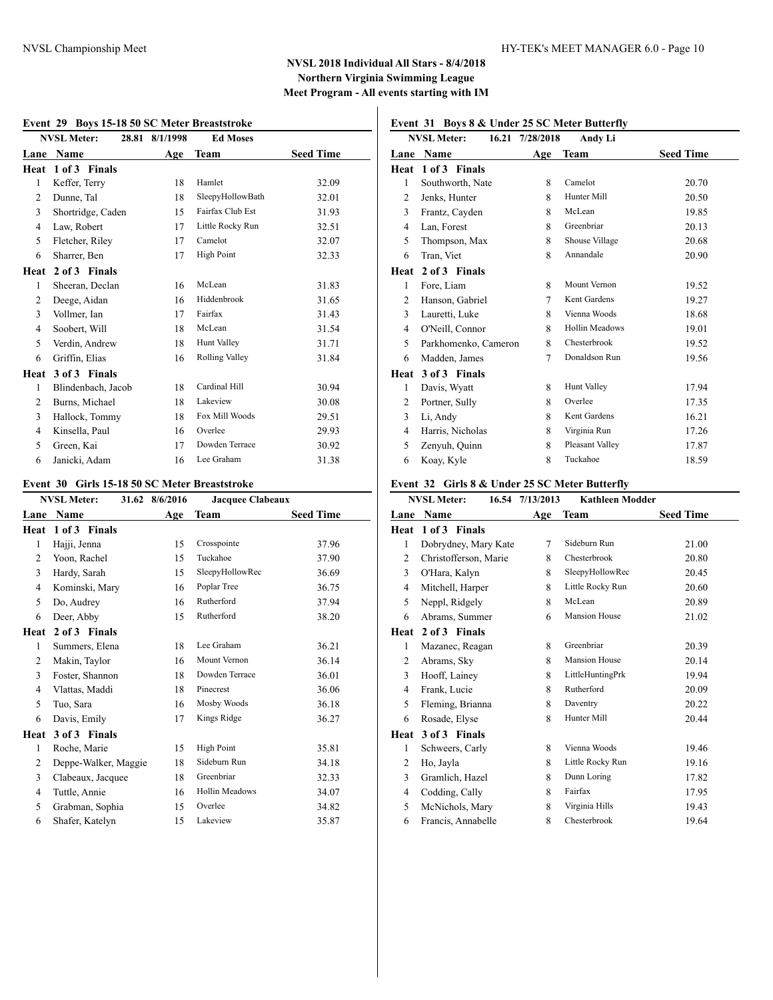|                | Boys To 10 00 BC mitte Breaststrone<br><b>NVSL Meter:</b> | 28.81 8/1/1998 | <b>Ed Moses</b>       |                  |
|----------------|-----------------------------------------------------------|----------------|-----------------------|------------------|
| Lane           | <b>Name</b>                                               | Age            | <b>Team</b>           | <b>Seed Time</b> |
| Heat           | 1 of 3 Finals                                             |                |                       |                  |
| 1              | Keffer, Terry                                             | 18             | Hamlet                | 32.09            |
| $\overline{2}$ | Dunne, Tal                                                | 18             | SleepyHollowBath      | 32.01            |
| 3              | Shortridge, Caden                                         | 15             | Fairfax Club Est      | 31.93            |
| 4              | Law, Robert                                               | 17             | Little Rocky Run      | 32.51            |
| 5              | Fletcher, Riley                                           | 17             | Camelot               | 32.07            |
| 6              | Sharrer, Ben                                              | 17             | <b>High Point</b>     | 32.33            |
| Heat           | 2 of 3 Finals                                             |                |                       |                  |
| $\mathbf{1}$   | Sheeran, Declan                                           | 16             | McLean                | 31.83            |
| $\overline{c}$ | Deege, Aidan                                              | 16             | Hiddenbrook           | 31.65            |
| 3              | Vollmer, Ian                                              | 17             | Fairfax               | 31.43            |
| $\overline{4}$ | Soobert, Will                                             | 18             | McLean                | 31.54            |
| 5              | Verdin, Andrew                                            | 18             | Hunt Valley           | 31.71            |
| 6              | Griffin, Elias                                            | 16             | <b>Rolling Valley</b> | 31.84            |
| Heat           | 3 of 3 Finals                                             |                |                       |                  |
| 1              | Blindenbach, Jacob                                        | 18             | Cardinal Hill         | 30.94            |
| 2              | Burns, Michael                                            | 18             | Lakeview              | 30.08            |
| 3              | Hallock, Tommy                                            | 18             | Fox Mill Woods        | 29.51            |
| 4              | Kinsella, Paul                                            | 16             | Overlee               | 29.93            |
| 5              | Green, Kai                                                | 17             | Dowden Terrace        | 30.92            |
| 6              | Janicki, Adam                                             | 16             | Lee Graham            | 31.38            |

### **Event 29 Boys 15-18 50 SC Meter Breaststroke**

#### **Event 30 Girls 15-18 50 SC Meter Breaststroke**

|                | <b>NVSL Meter:</b>   | 31.62 8/6/2016 | <b>Jacquee Clabeaux</b> |                  |
|----------------|----------------------|----------------|-------------------------|------------------|
| Lane           | Name                 | Age            | Team                    | <b>Seed Time</b> |
| Heat           | 1 of 3 Finals        |                |                         |                  |
| 1              | Hajji, Jenna         | 15             | Crosspointe             | 37.96            |
| 2              | Yoon, Rachel         | 15             | Tuckahoe                | 37.90            |
| 3              | Hardy, Sarah         | 15             | SleepyHollowRec         | 36.69            |
| $\overline{4}$ | Kominski, Mary       | 16             | Poplar Tree             | 36.75            |
| 5              | Do, Audrey           | 16             | Rutherford              | 37.94            |
| 6              | Deer, Abby           | 15             | Rutherford              | 38.20            |
| Heat           | 2 of 3 Finals        |                |                         |                  |
| 1              | Summers, Elena       | 18             | Lee Graham              | 36.21            |
| 2              | Makin, Taylor        | 16             | Mount Vernon            | 36.14            |
| 3              | Foster, Shannon      | 18             | Dowden Terrace          | 36.01            |
| $\overline{4}$ | Vlattas, Maddi       | 18             | Pinecrest               | 36.06            |
| 5              | Tuo, Sara            | 16             | Mosby Woods             | 36.18            |
| 6              | Davis, Emily         | 17             | Kings Ridge             | 36.27            |
| Heat           | 3 of 3 Finals        |                |                         |                  |
| 1              | Roche, Marie         | 15             | <b>High Point</b>       | 35.81            |
| 2              | Deppe-Walker, Maggie | 18             | Sideburn Run            | 34.18            |
| 3              | Clabeaux, Jacquee    | 18             | Greenbriar              | 32.33            |
| $\overline{4}$ | Tuttle, Annie        | 16             | Hollin Meadows          | 34.07            |
| 5              | Grabman, Sophia      | 15             | Overlee                 | 34.82            |
| 6              | Shafer, Katelyn      | 15             | Lakeview                | 35.87            |
|                |                      |                |                         |                  |

## **Event 31 Boys 8 & Under 25 SC Meter Butterfly**

|                | 16.21<br><b>NVSL Meter:</b> | 7/28/2018 | Andy Li               |                  |
|----------------|-----------------------------|-----------|-----------------------|------------------|
| Lane           | Name                        | Age       | Team                  | <b>Seed Time</b> |
| Heat           | 1 of 3 Finals               |           |                       |                  |
| 1              | Southworth, Nate            | 8         | Camelot               | 20.70            |
| 2              | Jenks, Hunter               | 8         | Hunter Mill           | 20.50            |
| 3              | Frantz, Cayden              | 8         | McLean                | 19.85            |
| $\overline{4}$ | Lan, Forest                 | 8         | Greenbriar            | 20.13            |
| 5              | Thompson, Max               | 8         | Shouse Village        | 20.68            |
| 6              | Tran, Viet                  | 8         | Annandale             | 20.90            |
| Heat           | 2 of 3 Finals               |           |                       |                  |
| 1              | Fore, Liam                  | 8         | Mount Vernon          | 19.52            |
| $\overline{c}$ | Hanson, Gabriel             | 7         | Kent Gardens          | 19.27            |
| 3              | Lauretti, Luke              | 8         | Vienna Woods          | 18.68            |
| $\overline{4}$ | O'Neill, Connor             | 8         | <b>Hollin Meadows</b> | 19.01            |
| 5              | Parkhomenko, Cameron        | 8         | Chesterbrook          | 19.52            |
| 6              | Madden, James               | 7         | Donaldson Run         | 19.56            |
| Heat           | 3 of 3 Finals               |           |                       |                  |
| 1              | Davis, Wyatt                | 8         | <b>Hunt Valley</b>    | 17.94            |
| 2              | Portner, Sully              | 8         | Overlee               | 17.35            |
| 3              | Li, Andy                    | 8         | Kent Gardens          | 16.21            |
| 4              | Harris, Nicholas            | 8         | Virginia Run          | 17.26            |
| 5              | Zenyuh, Quinn               | 8         | Pleasant Valley       | 17.87            |
| 6              | Koay, Kyle                  | 8         | Tuckahoe              | 18.59            |

### **Event 32 Girls 8 & Under 25 SC Meter Butterfly**

| <b>NVSL Meter:</b>    |     | <b>Kathleen Modder</b> |                  |
|-----------------------|-----|------------------------|------------------|
| Name                  | Age |                        | <b>Seed Time</b> |
| 1 of 3 Finals         |     |                        |                  |
| Dobrydney, Mary Kate  | 7   | Sideburn Run           | 21.00            |
| Christofferson, Marie | 8   | Chesterbrook           | 20.80            |
| O'Hara, Kalyn         | 8   | SleepyHollowRec        | 20.45            |
| Mitchell, Harper      | 8   | Little Rocky Run       | 20.60            |
| Neppl, Ridgely        | 8   | McLean                 | 20.89            |
| Abrams, Summer        | 6   | <b>Mansion House</b>   | 21.02            |
| 2 of 3 Finals         |     |                        |                  |
| Mazanec, Reagan       | 8   | Greenbriar             | 20.39            |
| Abrams, Sky           | 8   | <b>Mansion House</b>   | 20.14            |
| Hooff, Lainey         | 8   | LittleHuntingPrk       | 19.94            |
| Frank, Lucie          | 8   | Rutherford             | 20.09            |
| Fleming, Brianna      | 8   | Daventry               | 20.22            |
| Rosade, Elyse         | 8   | Hunter Mill            | 20.44            |
| 3 of 3 Finals<br>Heat |     |                        |                  |
| Schweers, Carly       | 8   | Vienna Woods           | 19.46            |
| Ho, Jayla             | 8   | Little Rocky Run       | 19.16            |
| Gramlich, Hazel       | 8   | Dunn Loring            | 17.82            |
| Codding, Cally        | 8   | Fairfax                | 17.95            |
| McNichols, Mary       | 8   | Virginia Hills         | 19.43            |
| Francis, Annabelle    | 8   | Chesterbrook           | 19.64            |
|                       |     | 16.54 7/13/2013        | Team             |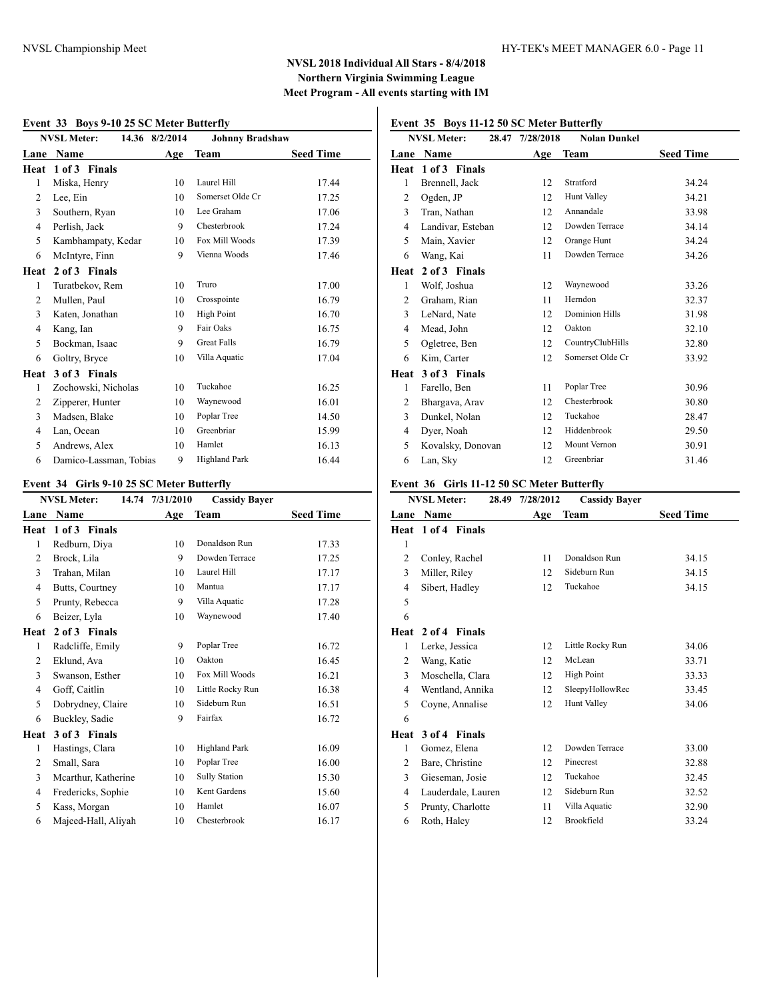#### **Event 33 Boys 9-10 25 SC Meter Butterfly**

|                | <b>NVSL Meter:</b>     | 14.36 8/2/2014 | <b>Johnny Bradshaw</b> |                  |
|----------------|------------------------|----------------|------------------------|------------------|
| Lane           | Name                   | Age            | <b>Team</b>            | <b>Seed Time</b> |
| Heat           | 1 of 3 Finals          |                |                        |                  |
| 1              | Miska, Henry           | 10             | Laurel Hill            | 17.44            |
| 2              | Lee, Ein               | 10             | Somerset Olde Cr       | 17.25            |
| 3              | Southern, Ryan         | 10             | Lee Graham             | 17.06            |
| $\overline{4}$ | Perlish, Jack          | 9              | Chesterbrook           | 17.24            |
| 5              | Kambhampaty, Kedar     | 10             | Fox Mill Woods         | 17.39            |
| 6              | McIntyre, Finn         | 9              | Vienna Woods           | 17.46            |
| Heat           | 2 of 3 Finals          |                |                        |                  |
| 1              | Turatbekov, Rem        | 10             | Truro                  | 17.00            |
| $\overline{2}$ | Mullen, Paul           | 10             | Crosspointe            | 16.79            |
| 3              | Katen, Jonathan        | 10             | High Point             | 16.70            |
| 4              | Kang, Ian              | 9              | Fair Oaks              | 16.75            |
| 5              | Bockman, Isaac         | 9              | Great Falls            | 16.79            |
| 6              | Goltry, Bryce          | 10             | Villa Aquatic          | 17.04            |
| Heat           | 3 of 3 Finals          |                |                        |                  |
| 1              | Zochowski, Nicholas    | 10             | Tuckahoe               | 16.25            |
| 2              | Zipperer, Hunter       | 10             | Waynewood              | 16.01            |
| 3              | Madsen, Blake          | 10             | Poplar Tree            | 14.50            |
| 4              | Lan, Ocean             | 10             | Greenbriar             | 15.99            |
| 5              | Andrews, Alex          | 10             | Hamlet                 | 16.13            |
| 6              | Damico-Lassman, Tobias | 9              | <b>Highland Park</b>   | 16.44            |

### **Event 34 Girls 9-10 25 SC Meter Butterfly**

|      | <b>NVSL Meter:</b>  | 14.74 7/31/2010 | <b>Cassidy Bayer</b> |                  |
|------|---------------------|-----------------|----------------------|------------------|
| Lane | Name                | Age             | Team                 | <b>Seed Time</b> |
| Heat | 1 of 3 Finals       |                 |                      |                  |
| 1    | Redburn, Diya       | 10              | Donaldson Run        | 17.33            |
| 2    | Brock, Lila         | 9               | Dowden Terrace       | 17.25            |
| 3    | Trahan, Milan       | 10              | Laurel Hill          | 17.17            |
| 4    | Butts, Courtney     | 10              | Mantua               | 17.17            |
| 5    | Prunty, Rebecca     | 9               | Villa Aquatic        | 17.28            |
| 6    | Beizer, Lyla        | 10              | Waynewood            | 17.40            |
| Heat | 2 of 3 Finals       |                 |                      |                  |
| 1    | Radcliffe, Emily    | 9               | Poplar Tree          | 16.72            |
| 2    | Eklund, Ava         | 10              | Oakton               | 16.45            |
| 3    | Swanson, Esther     | 10              | Fox Mill Woods       | 16.21            |
| 4    | Goff, Caitlin       | 10              | Little Rocky Run     | 16.38            |
| 5    | Dobrydney, Claire   | 10              | Sideburn Run         | 16.51            |
| 6    | Buckley, Sadie      | 9               | Fairfax              | 16.72            |
| Heat | 3 of 3 Finals       |                 |                      |                  |
| 1    | Hastings, Clara     | 10              | <b>Highland Park</b> | 16.09            |
| 2    | Small, Sara         | 10              | Poplar Tree          | 16.00            |
| 3    | Mcarthur, Katherine | 10              | <b>Sully Station</b> | 15.30            |
| 4    | Fredericks, Sophie  | 10              | Kent Gardens         | 15.60            |
| 5    | Kass, Morgan        | 10              | Hamlet               | 16.07            |
| 6    | Majeed-Hall, Aliyah | 10              | Chesterbrook         | 16.17            |
|      |                     |                 |                      |                  |

# **Event 35 Boys 11-12 50 SC Meter Butterfly**

|      | <b>NVSL Meter:</b><br>28.47 | 7/28/2018 | <b>Nolan Dunkel</b>   |                  |
|------|-----------------------------|-----------|-----------------------|------------------|
| Lane | Name                        | Age       | Team                  | <b>Seed Time</b> |
| Heat | 1 of 3 Finals               |           |                       |                  |
| 1    | Brennell, Jack              | 12        | Stratford             | 34.24            |
| 2    | Ogden, JP                   | 12        | <b>Hunt Valley</b>    | 34.21            |
| 3    | Tran, Nathan                | 12        | Annandale             | 33.98            |
| 4    | Landivar, Esteban           | 12        | Dowden Terrace        | 34.14            |
| 5    | Main, Xavier                | 12        | Orange Hunt           | 34.24            |
| 6    | Wang, Kai                   | 11        | Dowden Terrace        | 34.26            |
| Heat | 2 of 3 Finals               |           |                       |                  |
| 1    | Wolf, Joshua                | 12        | Waynewood             | 33.26            |
| 2    | Graham, Rian                | 11        | Herndon               | 32.37            |
| 3    | LeNard, Nate                | 12        | <b>Dominion Hills</b> | 31.98            |
| 4    | Mead, John                  | 12        | Oakton                | 32.10            |
| 5    | Ogletree, Ben               | 12        | CountryClubHills      | 32.80            |
| 6    | Kim, Carter                 | 12        | Somerset Olde Cr      | 33.92            |
| Heat | 3 of 3 Finals               |           |                       |                  |
| 1    | Farello, Ben                | 11        | Poplar Tree           | 30.96            |
| 2    | Bhargava, Arav              | 12        | Chesterbrook          | 30.80            |
| 3    | Dunkel, Nolan               | 12        | Tuckahoe              | 28.47            |
| 4    | Dyer, Noah                  | 12        | Hiddenbrook           | 29.50            |
| 5    | Kovalsky, Donovan           | 12        | Mount Vernon          | 30.91            |
| 6    | Lan, Sky                    | 12        | Greenbriar            | 31.46            |

### **Event 36 Girls 11-12 50 SC Meter Butterfly**

|                | <b>NVSL Meter:</b><br>28.49 | 7/28/2012 | <b>Cassidy Bayer</b> |                  |
|----------------|-----------------------------|-----------|----------------------|------------------|
| Lane           | Name                        | Age       | <b>Team</b>          | <b>Seed Time</b> |
| Heat           | 1 of 4 Finals               |           |                      |                  |
| 1              |                             |           |                      |                  |
| 2              | Conley, Rachel              | 11        | Donaldson Run        | 34.15            |
| 3              | Miller, Riley               | 12        | Sideburn Run         | 34.15            |
| 4              | Sibert, Hadley              | 12        | Tuckahoe             | 34.15            |
| 5              |                             |           |                      |                  |
| 6              |                             |           |                      |                  |
| Heat           | 2 of 4 Finals               |           |                      |                  |
| 1              | Lerke, Jessica              | 12        | Little Rocky Run     | 34.06            |
| 2              | Wang, Katie                 | 12        | McLean               | 33.71            |
| 3              | Moschella, Clara            | 12        | High Point           | 33.33            |
| 4              | Wentland, Annika            | 12        | SleepyHollowRec      | 33.45            |
| 5              | Coyne, Annalise             | 12        | <b>Hunt Valley</b>   | 34.06            |
| 6              |                             |           |                      |                  |
| Heat           | 3 of 4 Finals               |           |                      |                  |
| 1              | Gomez, Elena                | 12        | Dowden Terrace       | 33.00            |
| 2              | Bare, Christine             | 12        | Pinecrest            | 32.88            |
| 3              | Gieseman, Josie             | 12        | Tuckahoe             | 32.45            |
| $\overline{4}$ | Lauderdale, Lauren          | 12        | Sideburn Run         | 32.52            |
| 5              | Prunty, Charlotte           | 11        | Villa Aquatic        | 32.90            |
| 6              | Roth, Haley                 | 12        | Brookfield           | 33.24            |
|                |                             |           |                      |                  |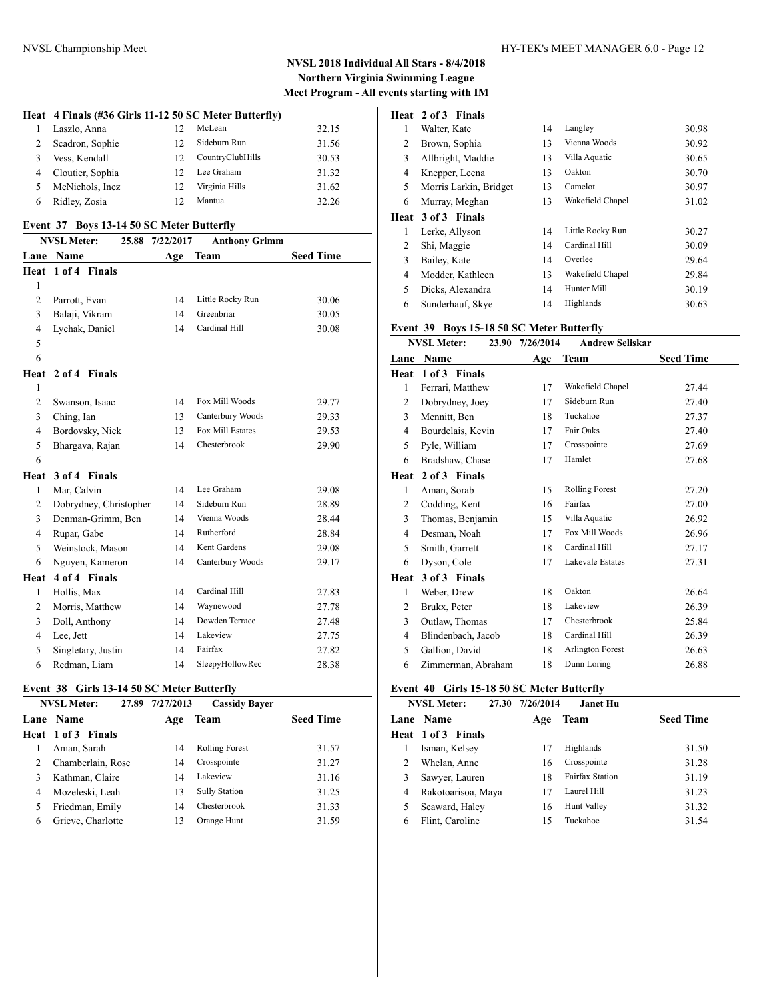### **Heat 4 Finals (#36 Girls 11-12 50 SC Meter Butterfly)**

| $\mathbf{1}$ | Laszlo, Anna       | $12^{\circ}$ | McLean           | 32.15 |
|--------------|--------------------|--------------|------------------|-------|
| 2            | Scadron, Sophie    | $12^{\circ}$ | Sideburn Run     | 31.56 |
| 3            | Vess, Kendall      | 12.          | CountryClubHills | 30.53 |
|              | 4 Cloutier, Sophia | $12^{\circ}$ | Lee Graham       | 31.32 |
| 5            | McNichols, Inez    | $12^{\circ}$ | Virginia Hills   | 31.62 |
| 6            | Ridley, Zosia      | $12^{\circ}$ | Mantua           | 32.26 |
|              |                    |              |                  |       |

#### **Event 37 Boys 13-14 50 SC Meter Butterfly**

|                | <b>NVSL Meter:</b>     | 25.88 7/22/2017 | <b>Anthony Grimm</b> |                  |
|----------------|------------------------|-----------------|----------------------|------------------|
| Lane           | Name                   | Age             | Team                 | <b>Seed Time</b> |
|                | Heat 1 of 4 Finals     |                 |                      |                  |
| 1              |                        |                 |                      |                  |
| $\overline{2}$ | Parrott, Evan          | 14              | Little Rocky Run     | 30.06            |
| 3              | Balaji, Vikram         | 14              | Greenbriar           | 30.05            |
| 4              | Lychak, Daniel         | 14              | Cardinal Hill        | 30.08            |
| 5              |                        |                 |                      |                  |
| 6              |                        |                 |                      |                  |
| Heat           | 2 of 4 Finals          |                 |                      |                  |
| 1              |                        |                 |                      |                  |
| 2              | Swanson, Isaac         | 14              | Fox Mill Woods       | 29.77            |
| 3              | Ching, Ian             | 13              | Canterbury Woods     | 29.33            |
| $\overline{4}$ | Bordovsky, Nick        | 13              | Fox Mill Estates     | 29.53            |
| 5              | Bhargava, Rajan        | 14              | Chesterbrook         | 29.90            |
| 6              |                        |                 |                      |                  |
| Heat           | 3 of 4 Finals          |                 |                      |                  |
| $\mathbf{1}$   | Mar, Calvin            | 14              | Lee Graham           | 29.08            |
| 2              | Dobrydney, Christopher | 14              | Sideburn Run         | 28.89            |
| 3              | Denman-Grimm, Ben      | 14              | Vienna Woods         | 28.44            |
| $\overline{4}$ | Rupar, Gabe            | 14              | Rutherford           | 28.84            |
| 5              | Weinstock, Mason       | 14              | Kent Gardens         | 29.08            |
| 6              | Nguyen, Kameron        | 14              | Canterbury Woods     | 29.17            |
| Heat           | 4 of 4 Finals          |                 |                      |                  |
| $\mathbf{1}$   | Hollis, Max            | 14              | Cardinal Hill        | 27.83            |
| 2              | Morris, Matthew        | 14              | Waynewood            | 27.78            |
| 3              | Doll, Anthony          | 14              | Dowden Terrace       | 27.48            |
| $\overline{4}$ | Lee, Jett              | 14              | Lakeview             | 27.75            |
| 5              | Singletary, Justin     | 14              | Fairfax              | 27.82            |
| 6              | Redman, Liam           | 14              | SleepyHollowRec      | 28.38            |
|                |                        |                 |                      |                  |

#### **Event 38 Girls 13-14 50 SC Meter Butterfly**

|   | <b>NVSL Meter:</b><br>27.89 | 7/27/2013 | <b>Cassidy Bayer</b>  |                  |
|---|-----------------------------|-----------|-----------------------|------------------|
|   | <b>Lane Name</b>            | Age       | Team                  | <b>Seed Time</b> |
|   | Heat 1 of 3 Finals          |           |                       |                  |
|   | Aman, Sarah                 | 14        | <b>Rolling Forest</b> | 31.57            |
|   | Chamberlain, Rose           | 14        | Crosspointe           | 31.27            |
|   | Kathman, Claire             | 14        | Lakeview              | 31.16            |
| 4 | Mozeleski, Leah             | 13        | <b>Sully Station</b>  | 31.25            |
|   | Friedman, Emily             | 14        | Chesterbrook          | 31.33            |
| 6 | Grieve, Charlotte           | 13        | Orange Hunt           | 31.59            |

# **Heat 2 of 3 Finals**

| 1    | Walter, Kate           | 14 | Langley          | 30.98 |
|------|------------------------|----|------------------|-------|
| 2    | Brown, Sophia          | 13 | Vienna Woods     | 30.92 |
| 3    | Allbright, Maddie      | 13 | Villa Aquatic    | 30.65 |
| 4    | Knepper, Leena         | 13 | Oakton           | 30.70 |
| 5    | Morris Larkin, Bridget | 13 | Camelot          | 30.97 |
| 6    | Murray, Meghan         | 13 | Wakefield Chapel | 31.02 |
| Heat | 3 of 3 Finals          |    |                  |       |
|      |                        |    |                  |       |
| 1    | Lerke, Allyson         | 14 | Little Rocky Run | 30.27 |
| 2    | Shi, Maggie            | 14 | Cardinal Hill    | 30.09 |
| 3    | Bailey, Kate           | 14 | Overlee          | 29.64 |
| 4    | Modder, Kathleen       | 13 | Wakefield Chapel | 29.84 |
| 5    | Dicks, Alexandra       | 14 | Hunter Mill      | 30.19 |

### **Event 39 Boys 15-18 50 SC Meter Butterfly**

|      | <b>NVSL Meter:</b><br>23.90 | 7/26/2014 | <b>Andrew Seliskar</b>  |                  |
|------|-----------------------------|-----------|-------------------------|------------------|
| Lane | Name                        | Age       | <b>Team</b>             | <b>Seed Time</b> |
| Heat | 1 of 3 Finals               |           |                         |                  |
| 1    | Ferrari, Matthew            | 17        | Wakefield Chapel        | 27.44            |
| 2    | Dobrydney, Joey             | 17        | Sideburn Run            | 27.40            |
| 3    | Mennitt, Ben                | 18        | Tuckahoe                | 27.37            |
| 4    | Bourdelais, Kevin           | 17        | Fair Oaks               | 27.40            |
| 5    | Pyle, William               | 17        | Crosspointe             | 27.69            |
| 6    | Bradshaw, Chase             | 17        | Hamlet                  | 27.68            |
| Heat | 2 of 3 Finals               |           |                         |                  |
| 1    | Aman, Sorab                 | 15        | <b>Rolling Forest</b>   | 27.20            |
| 2    | Codding, Kent               | 16        | Fairfax                 | 27.00            |
| 3    | Thomas, Benjamin            | 15        | Villa Aquatic           | 26.92            |
| 4    | Desman, Noah                | 17        | Fox Mill Woods          | 26.96            |
| 5    | Smith, Garrett              | 18        | Cardinal Hill           | 27.17            |
| 6    | Dyson, Cole                 | 17        | <b>Lakevale Estates</b> | 27.31            |
| Heat | 3 of 3 Finals               |           |                         |                  |
| 1    | Weber, Drew                 | 18        | Oakton                  | 26.64            |
| 2    | Brukx, Peter                | 18        | Lakeview                | 26.39            |
| 3    | Outlaw, Thomas              | 17        | Chesterbrook            | 25.84            |
| 4    | Blindenbach, Jacob          | 18        | Cardinal Hill           | 26.39            |
| 5    | Gallion, David              | 18        | Arlington Forest        | 26.63            |
| 6    | Zimmerman, Abraham          | 18        | Dunn Loring             | 26.88            |

# **Event 40 Girls 15-18 50 SC Meter Butterfly**

|   | <b>NVSL Meter:</b><br>27.30 | 7/26/2014<br>Janet Hu |                        |                  |  |
|---|-----------------------------|-----------------------|------------------------|------------------|--|
|   | Lane Name                   | Age                   | Team                   | <b>Seed Time</b> |  |
|   | Heat 1 of 3 Finals          |                       |                        |                  |  |
|   | Isman, Kelsey               | 17                    | Highlands              | 31.50            |  |
| 2 | Whelan, Anne                | 16                    | Crosspointe            | 31.28            |  |
| 3 | Sawyer, Lauren              | 18                    | <b>Fairfax Station</b> | 31.19            |  |
| 4 | Rakotoarisoa, Maya          | 17                    | Laurel Hill            | 31.23            |  |
| 5 | Seaward, Haley              | 16                    | <b>Hunt Valley</b>     | 31.32            |  |
| 6 | Flint, Caroline             | 15                    | Tuckahoe               | 31.54            |  |